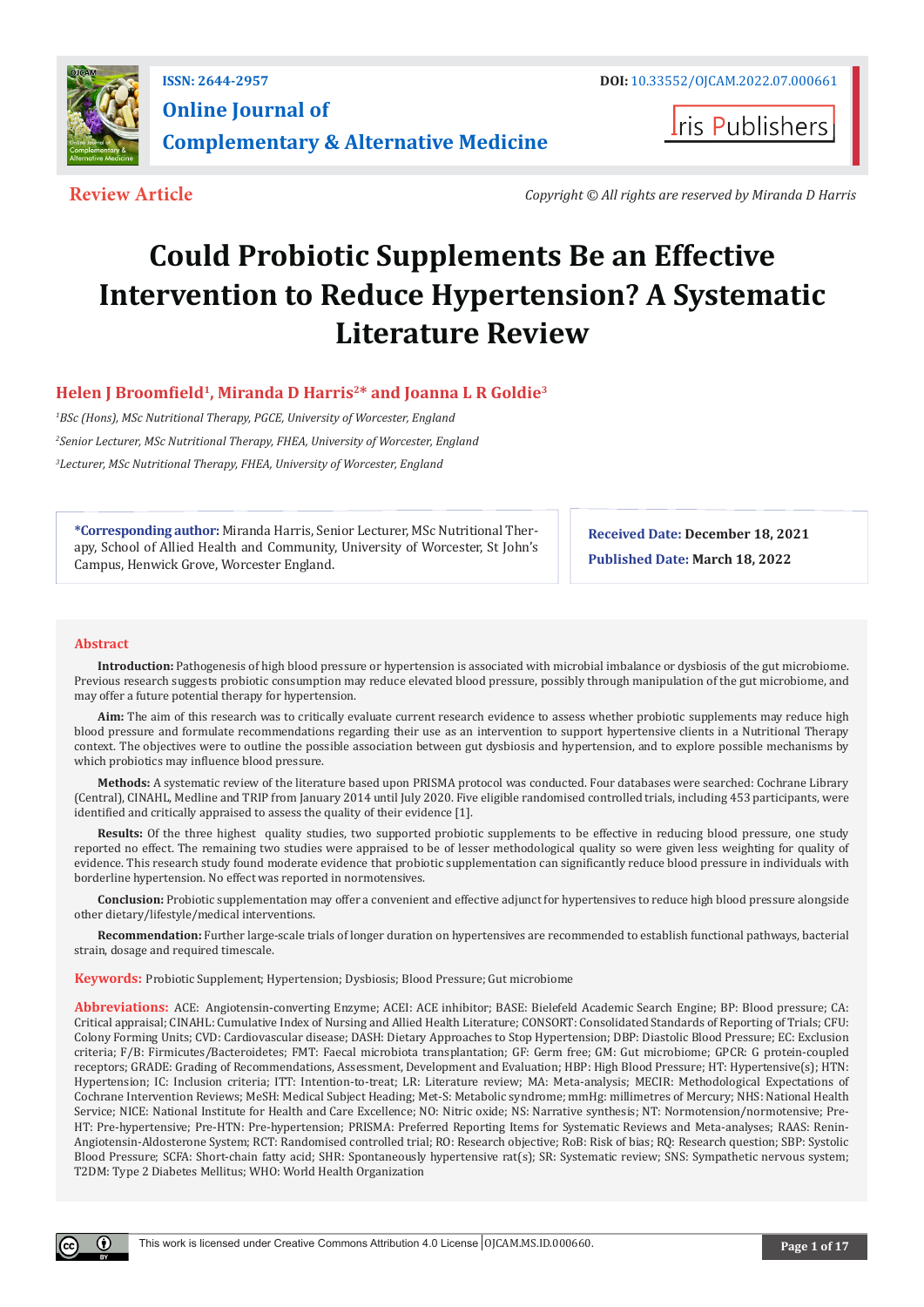

**I**ris Publishers

**Review Article** *Copyright © All rights are reserved by Miranda D Harris*

# **Could Probiotic Supplements Be an Effective Intervention to Reduce Hypertension? A Systematic Literature Review**

# **Helen J Broomfield1, Miranda D Harris2\* and Joanna L R Goldie3**

*1 BSc (Hons), MSc Nutritional Therapy, PGCE, University of Worcester, England 2 Senior Lecturer, MSc Nutritional Therapy, FHEA, University of Worcester, England 3 Lecturer, MSc Nutritional Therapy, FHEA, University of Worcester, England*

**\*Corresponding author:** Miranda Harris, Senior Lecturer, MSc Nutritional Therapy, School of Allied Health and Community, University of Worcester, St John's Campus, Henwick Grove, Worcester England.

**Received Date: December 18, 2021 Published Date: March 18, 2022**

#### **Abstract**

**Introduction:** Pathogenesis of high blood pressure or hypertension is associated with microbial imbalance or dysbiosis of the gut microbiome. Previous research suggests probiotic consumption may reduce elevated blood pressure, possibly through manipulation of the gut microbiome, and may offer a future potential therapy for hypertension.

**Aim:** The aim of this research was to critically evaluate current research evidence to assess whether probiotic supplements may reduce high blood pressure and formulate recommendations regarding their use as an intervention to support hypertensive clients in a Nutritional Therapy context. The objectives were to outline the possible association between gut dysbiosis and hypertension, and to explore possible mechanisms by which probiotics may influence blood pressure.

**Methods:** A systematic review of the literature based upon PRISMA protocol was conducted. Four databases were searched: Cochrane Library (Central), CINAHL, Medline and TRIP from January 2014 until July 2020. Five eligible randomised controlled trials, including 453 participants, were identified and critically appraised to assess the quality of their evidence [1].

**Results:** Of the three highest quality studies, two supported probiotic supplements to be effective in reducing blood pressure, one study reported no effect. The remaining two studies were appraised to be of lesser methodological quality so were given less weighting for quality of evidence. This research study found moderate evidence that probiotic supplementation can significantly reduce blood pressure in individuals with borderline hypertension. No effect was reported in normotensives.

**Conclusion:** Probiotic supplementation may offer a convenient and effective adjunct for hypertensives to reduce high blood pressure alongside other dietary/lifestyle/medical interventions.

**Recommendation:** Further large-scale trials of longer duration on hypertensives are recommended to establish functional pathways, bacterial strain, dosage and required timescale.

#### **Keywords:** Probiotic Supplement; Hypertension; Dysbiosis; Blood Pressure; Gut microbiome

**Abbreviations:** ACE: Angiotensin-converting Enzyme; ACEI: ACE inhibitor; BASE: Bielefeld Academic Search Engine; BP: Blood pressure; CA: Critical appraisal; CINAHL: Cumulative Index of Nursing and Allied Health Literature; CONSORT: Consolidated Standards of Reporting of Trials; CFU: Colony Forming Units; CVD: Cardiovascular disease; DASH: Dietary Approaches to Stop Hypertension; DBP: Diastolic Blood Pressure; EC: Exclusion criteria; F/B: Firmicutes/Bacteroidetes; FMT: Faecal microbiota transplantation; GF: Germ free; GM: Gut microbiome; GPCR: G protein-coupled receptors; GRADE: Grading of Recommendations, Assessment, Development and Evaluation; HBP: High Blood Pressure; HT: Hypertensive(s); HTN: Hypertension; IC: Inclusion criteria; ITT: Intention-to-treat; LR: Literature review; MA: Meta-analysis; MECIR: Methodological Expectations of Cochrane Intervention Reviews; MeSH: Medical Subject Heading; Met-S: Metabolic syndrome; mmHg: millimetres of Mercury; NHS: National Health Service; NICE: National Institute for Health and Care Excellence; NO: Nitric oxide; NS: Narrative synthesis; NT: Normotension/normotensive; Pre-HT: Pre-hypertensive; Pre-HTN: Pre-hypertension; PRISMA: Preferred Reporting Items for Systematic Reviews and Meta-analyses; RAAS: Renin-Angiotensin-Aldosterone System; RCT: Randomised controlled trial; RO: Research objective; RoB: Risk of bias; RQ: Research question; SBP: Systolic Blood Pressure; SCFA: Short-chain fatty acid; SHR: Spontaneously hypertensive rat(s); SR: Systematic review; SNS: Sympathetic nervous system; T2DM: Type 2 Diabetes Mellitus; WHO: World Health Organization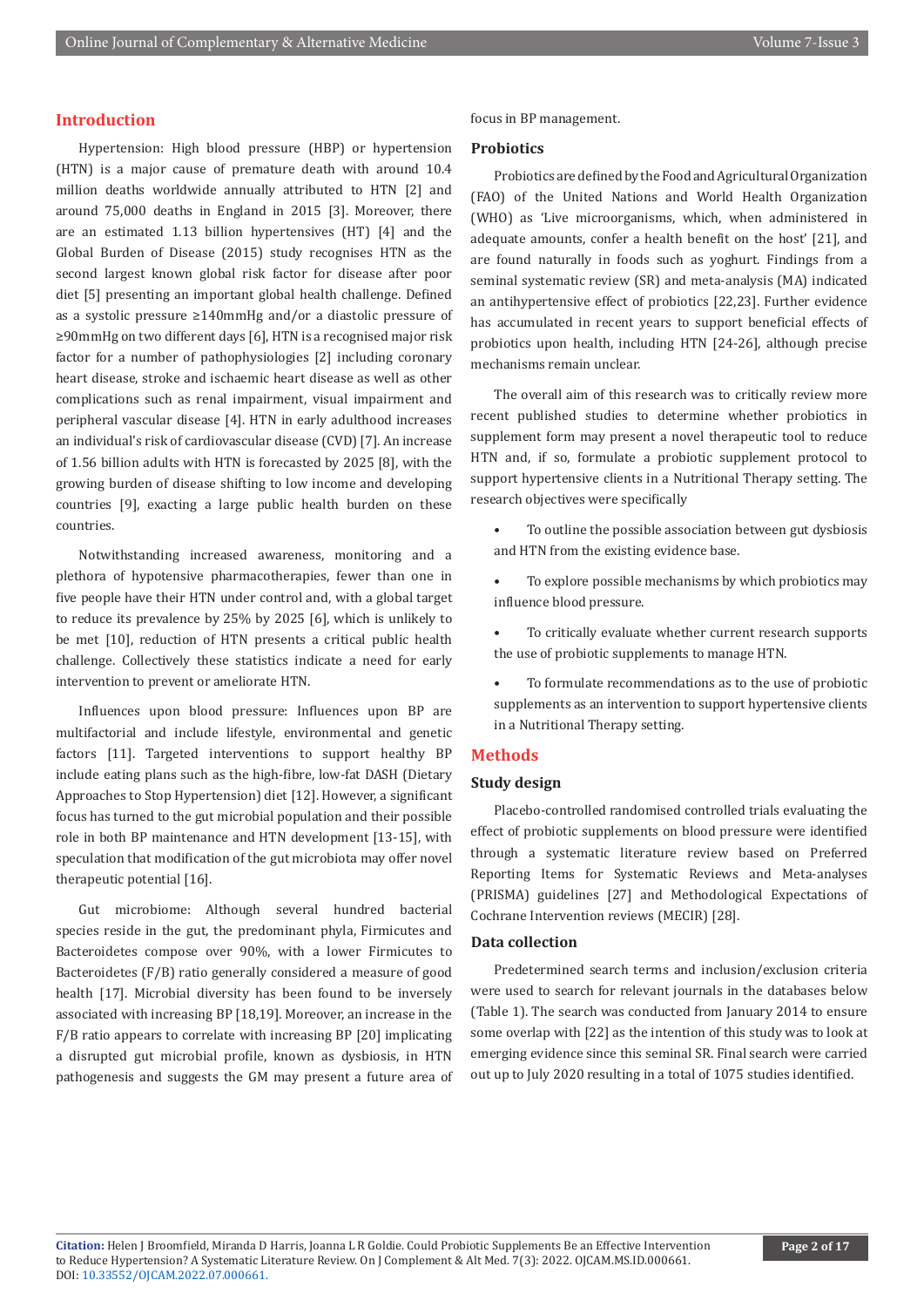#### **Introduction**

Hypertension: High blood pressure (HBP) or hypertension (HTN) is a major cause of premature death with around 10.4 million deaths worldwide annually attributed to HTN [2] and around 75,000 deaths in England in 2015 [3]. Moreover, there are an estimated 1.13 billion hypertensives (HT) [4] and the Global Burden of Disease (2015) study recognises HTN as the second largest known global risk factor for disease after poor diet [5] presenting an important global health challenge. Defined as a systolic pressure ≥140mmHg and/or a diastolic pressure of ≥90mmHg on two different days [6], HTN is a recognised major risk factor for a number of pathophysiologies [2] including coronary heart disease, stroke and ischaemic heart disease as well as other complications such as renal impairment, visual impairment and peripheral vascular disease [4]. HTN in early adulthood increases an individual's risk of cardiovascular disease (CVD) [7]. An increase of 1.56 billion adults with HTN is forecasted by 2025 [8], with the growing burden of disease shifting to low income and developing countries [9], exacting a large public health burden on these countries.

Notwithstanding increased awareness, monitoring and a plethora of hypotensive pharmacotherapies, fewer than one in five people have their HTN under control and, with a global target to reduce its prevalence by 25% by 2025 [6], which is unlikely to be met [10], reduction of HTN presents a critical public health challenge. Collectively these statistics indicate a need for early intervention to prevent or ameliorate HTN.

Influences upon blood pressure: Influences upon BP are multifactorial and include lifestyle, environmental and genetic factors [11]. Targeted interventions to support healthy BP include eating plans such as the high-fibre, low-fat DASH (Dietary Approaches to Stop Hypertension) diet [12]. However, a significant focus has turned to the gut microbial population and their possible role in both BP maintenance and HTN development [13-15], with speculation that modification of the gut microbiota may offer novel therapeutic potential [16].

Gut microbiome: Although several hundred bacterial species reside in the gut, the predominant phyla, Firmicutes and Bacteroidetes compose over 90%, with a lower Firmicutes to Bacteroidetes (F/B) ratio generally considered a measure of good health [17]. Microbial diversity has been found to be inversely associated with increasing BP [18,19]. Moreover, an increase in the F/B ratio appears to correlate with increasing BP [20] implicating a disrupted gut microbial profile, known as dysbiosis, in HTN pathogenesis and suggests the GM may present a future area of focus in BP management.

#### **Probiotics**

Probiotics are defined by the Food and Agricultural Organization (FAO) of the United Nations and World Health Organization (WHO) as 'Live microorganisms, which, when administered in adequate amounts, confer a health benefit on the host' [21], and are found naturally in foods such as yoghurt. Findings from a seminal systematic review (SR) and meta-analysis (MA) indicated an antihypertensive effect of probiotics [22,23]. Further evidence has accumulated in recent years to support beneficial effects of probiotics upon health, including HTN [24-26], although precise mechanisms remain unclear.

The overall aim of this research was to critically review more recent published studies to determine whether probiotics in supplement form may present a novel therapeutic tool to reduce HTN and, if so, formulate a probiotic supplement protocol to support hypertensive clients in a Nutritional Therapy setting. The research objectives were specifically

- To outline the possible association between gut dysbiosis and HTN from the existing evidence base.
- To explore possible mechanisms by which probiotics may influence blood pressure.
- To critically evaluate whether current research supports the use of probiotic supplements to manage HTN.
- To formulate recommendations as to the use of probiotic supplements as an intervention to support hypertensive clients in a Nutritional Therapy setting.

#### **Methods**

#### **Study design**

Placebo-controlled randomised controlled trials evaluating the effect of probiotic supplements on blood pressure were identified through a systematic literature review based on Preferred Reporting Items for Systematic Reviews and Meta-analyses (PRISMA) guidelines [27] and Methodological Expectations of Cochrane Intervention reviews (MECIR) [28].

#### **Data collection**

Predetermined search terms and inclusion/exclusion criteria were used to search for relevant journals in the databases below (Table 1). The search was conducted from January 2014 to ensure some overlap with [22] as the intention of this study was to look at emerging evidence since this seminal SR. Final search were carried out up to July 2020 resulting in a total of 1075 studies identified.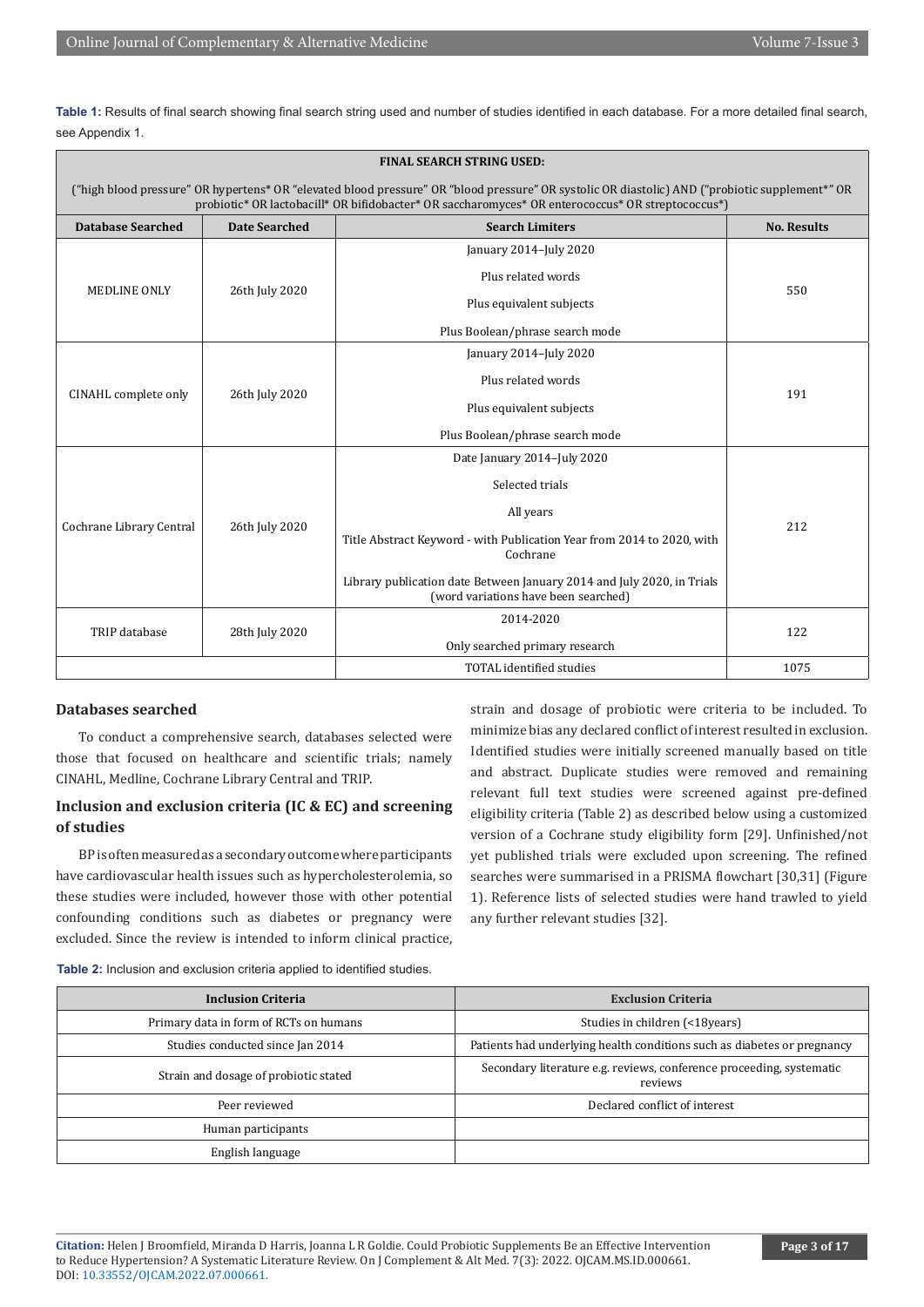**Table 1:** Results of final search showing final search string used and number of studies identified in each database. For a more detailed final search, see Appendix 1.

| <b>FINAL SEARCH STRING USED:</b>                                                                                                                                                                                                                     |                                                                                                                               |                                                                                                                                                                                                                                                                     |     |  |  |  |
|------------------------------------------------------------------------------------------------------------------------------------------------------------------------------------------------------------------------------------------------------|-------------------------------------------------------------------------------------------------------------------------------|---------------------------------------------------------------------------------------------------------------------------------------------------------------------------------------------------------------------------------------------------------------------|-----|--|--|--|
| ("high blood pressure" OR hypertens* OR "elevated blood pressure" OR "blood pressure" OR systolic OR diastolic) AND ("probiotic supplement*" OR<br>probiotic* OR lactobacill* OR bifidobacter* OR saccharomyces* OR enterococcus* OR streptococcus*) |                                                                                                                               |                                                                                                                                                                                                                                                                     |     |  |  |  |
| <b>Database Searched</b>                                                                                                                                                                                                                             | <b>Date Searched</b><br><b>Search Limiters</b>                                                                                |                                                                                                                                                                                                                                                                     |     |  |  |  |
| MEDLINE ONLY                                                                                                                                                                                                                                         | January 2014-July 2020<br>Plus related words<br>26th July 2020<br>Plus equivalent subjects<br>Plus Boolean/phrase search mode |                                                                                                                                                                                                                                                                     | 550 |  |  |  |
| CINAHL complete only                                                                                                                                                                                                                                 | January 2014-July 2020<br>Plus related words<br>26th July 2020<br>Plus equivalent subjects<br>Plus Boolean/phrase search mode |                                                                                                                                                                                                                                                                     | 191 |  |  |  |
| Cochrane Library Central                                                                                                                                                                                                                             | 26th July 2020                                                                                                                | Date January 2014-July 2020<br>Selected trials<br>All years<br>Title Abstract Keyword - with Publication Year from 2014 to 2020, with<br>Cochrane<br>Library publication date Between January 2014 and July 2020, in Trials<br>(word variations have been searched) |     |  |  |  |
| TRIP database                                                                                                                                                                                                                                        | 28th July 2020                                                                                                                | 2014-2020<br>Only searched primary research                                                                                                                                                                                                                         | 122 |  |  |  |
| <b>TOTAL</b> identified studies<br>1075                                                                                                                                                                                                              |                                                                                                                               |                                                                                                                                                                                                                                                                     |     |  |  |  |

#### **Databases searched**

To conduct a comprehensive search, databases selected were those that focused on healthcare and scientific trials; namely CINAHL, Medline, Cochrane Library Central and TRIP.

# **Inclusion and exclusion criteria (IC & EC) and screening of studies**

BP is often measured as a secondary outcome where participants have cardiovascular health issues such as hypercholesterolemia, so these studies were included, however those with other potential confounding conditions such as diabetes or pregnancy were excluded. Since the review is intended to inform clinical practice,

strain and dosage of probiotic were criteria to be included. To minimize bias any declared conflict of interest resulted in exclusion. Identified studies were initially screened manually based on title and abstract. Duplicate studies were removed and remaining relevant full text studies were screened against pre-defined eligibility criteria (Table 2) as described below using a customized version of a Cochrane study eligibility form [29]. Unfinished/not yet published trials were excluded upon screening. The refined searches were summarised in a PRISMA flowchart [30,31] (Figure 1). Reference lists of selected studies were hand trawled to yield any further relevant studies [32].

**Table 2:** Inclusion and exclusion criteria applied to identified studies.

| <b>Inclusion Criteria</b>              | <b>Exclusion Criteria</b>                                                       |
|----------------------------------------|---------------------------------------------------------------------------------|
| Primary data in form of RCTs on humans | Studies in children (<18 years)                                                 |
| Studies conducted since Jan 2014       | Patients had underlying health conditions such as diabetes or pregnancy         |
| Strain and dosage of probiotic stated  | Secondary literature e.g. reviews, conference proceeding, systematic<br>reviews |
| Peer reviewed                          | Declared conflict of interest                                                   |
| Human participants                     |                                                                                 |
| English language                       |                                                                                 |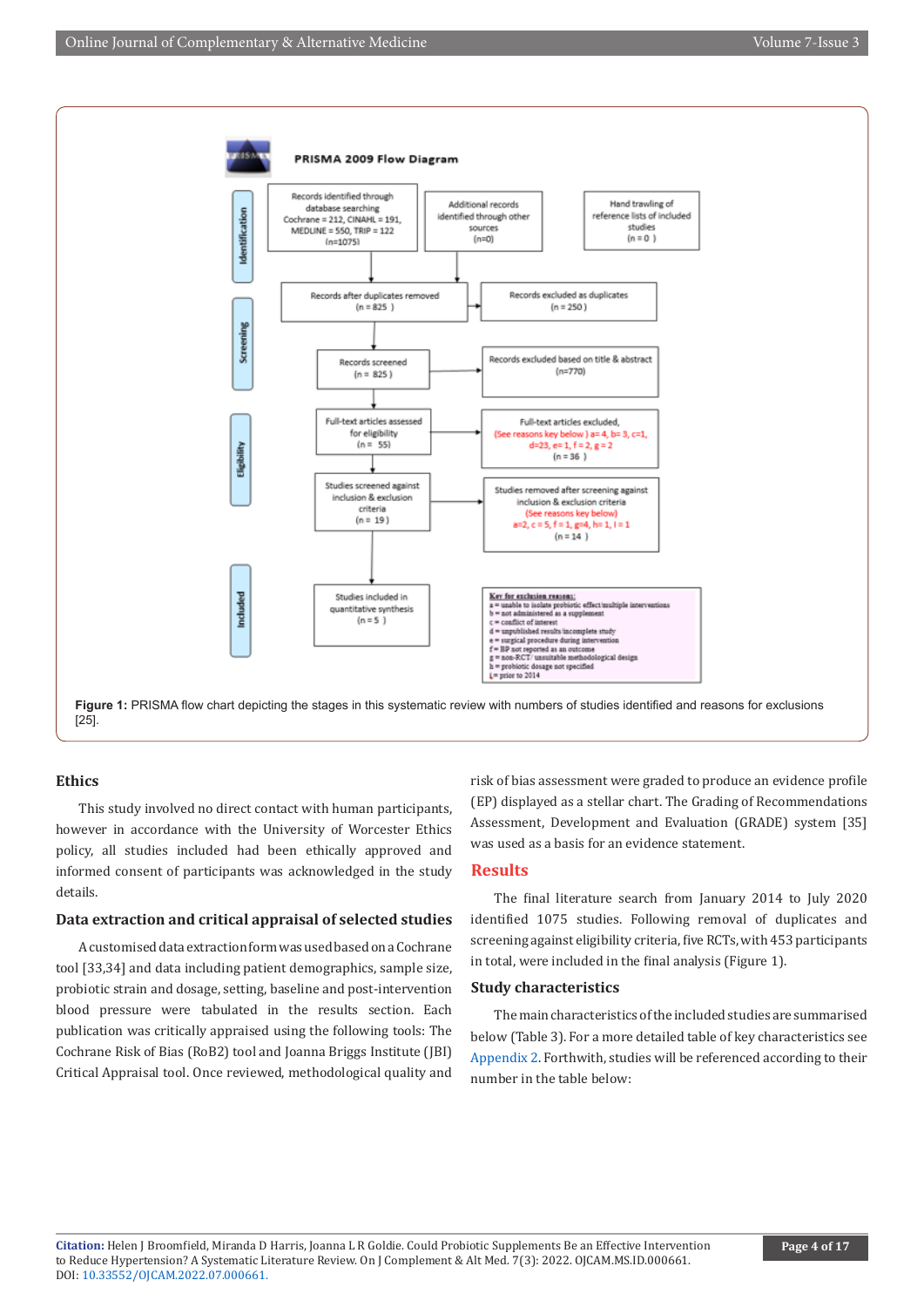

#### **Ethics**

This study involved no direct contact with human participants, however in accordance with the University of Worcester Ethics policy, all studies included had been ethically approved and informed consent of participants was acknowledged in the study details.

#### **Data extraction and critical appraisal of selected studies**

A customised data extraction form was used based on a Cochrane tool [33,34] and data including patient demographics, sample size, probiotic strain and dosage, setting, baseline and post-intervention blood pressure were tabulated in the results section. Each publication was critically appraised using the following tools: The Cochrane Risk of Bias (RoB2) tool and Joanna Briggs Institute (JBI) Critical Appraisal tool. Once reviewed, methodological quality and

risk of bias assessment were graded to produce an evidence profile (EP) displayed as a stellar chart. The Grading of Recommendations Assessment, Development and Evaluation (GRADE) system [35] was used as a basis for an evidence statement.

#### **Results**

The final literature search from January 2014 to July 2020 identified 1075 studies. Following removal of duplicates and screening against eligibility criteria, five RCTs, with 453 participants in total, were included in the final analysis (Figure 1).

#### **Study characteristics**

The main characteristics of the included studies are summarised below (Table 3). For a more detailed table of key characteristics see [Appendix 2](https://irispublishers.com/ojcam/pdf/OJCAM.MS.ID.000661appendix.pdf). Forthwith, studies will be referenced according to their number in the table below: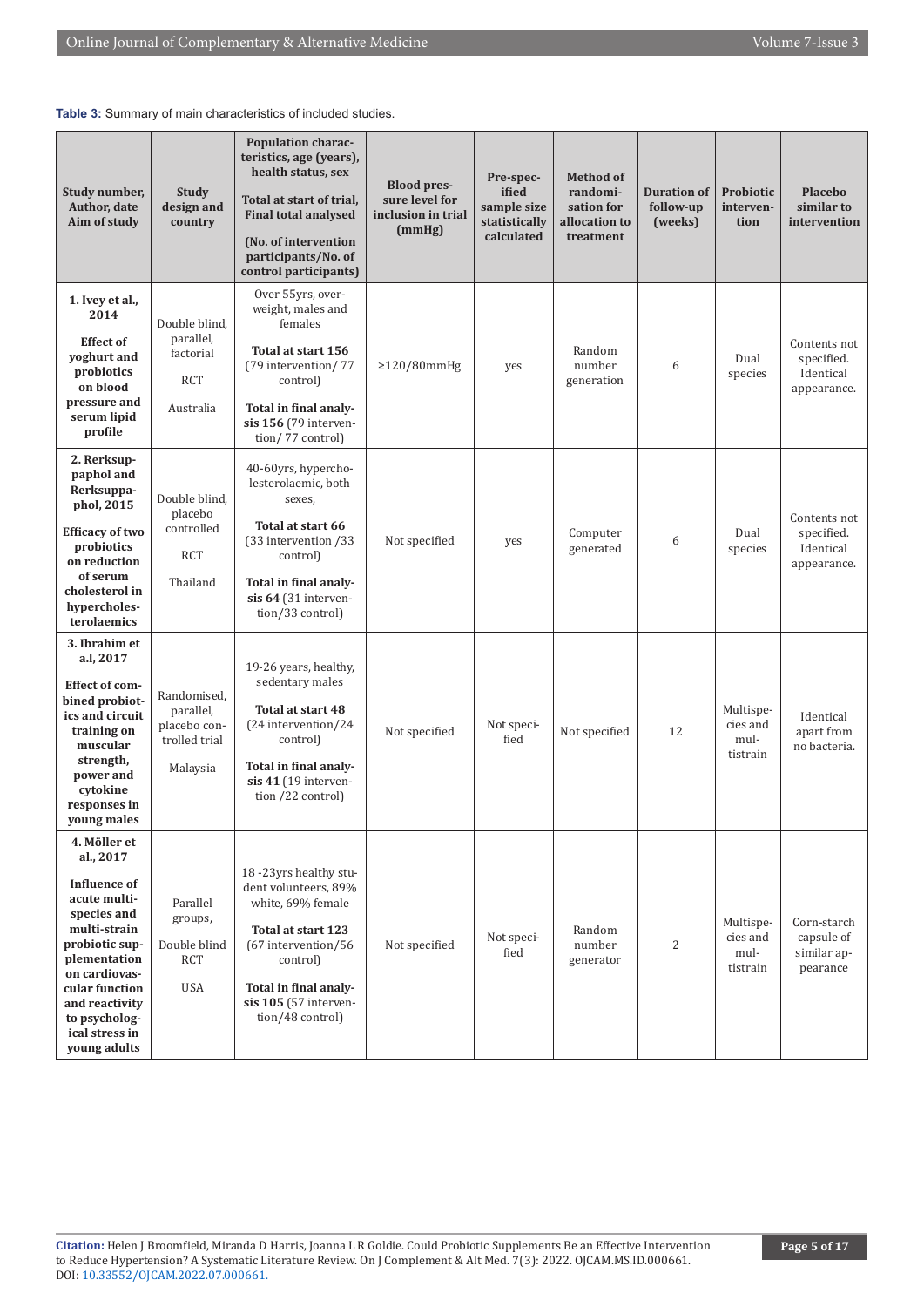| Study number,<br>Author, date<br>Aim of study                                                                                                                                                                                             | Study<br>design and<br>country                                        | Population charac-<br>teristics, age (years),<br>health status, sex<br>Total at start of trial,<br><b>Final total analysed</b><br>(No. of intervention<br>participants/No. of<br>control participants) | <b>Blood pres-</b><br>sure level for<br>inclusion in trial<br>(mmHg) | Pre-spec-<br>ified<br>sample size<br>statistically<br>calculated | <b>Method of</b><br>randomi-<br>sation for<br>allocation to<br>treatment | <b>Duration of</b><br>follow-up<br>(weeks) | <b>Probiotic</b><br>interven-<br>tion     | <b>Placebo</b><br>similar to<br>intervention           |
|-------------------------------------------------------------------------------------------------------------------------------------------------------------------------------------------------------------------------------------------|-----------------------------------------------------------------------|--------------------------------------------------------------------------------------------------------------------------------------------------------------------------------------------------------|----------------------------------------------------------------------|------------------------------------------------------------------|--------------------------------------------------------------------------|--------------------------------------------|-------------------------------------------|--------------------------------------------------------|
| 1. Ivey et al.,<br>2014<br><b>Effect of</b><br>yoghurt and<br>probiotics<br>on blood<br>pressure and<br>serum lipid<br>profile                                                                                                            | Double blind.<br>parallel,<br>factorial<br><b>RCT</b><br>Australia    | Over 55yrs, over-<br>weight, males and<br>females<br>Total at start 156<br>(79 intervention/77<br>control)<br>Total in final analy-<br>sis 156 (79 interven-<br>tion/77 control)                       | $\geq$ 120/80mmHg                                                    | yes                                                              | Random<br>number<br>generation                                           | 6                                          | Dual<br>species                           | Contents not<br>specified.<br>Identical<br>appearance. |
| 2. Rerksup-<br>paphol and<br>Rerksuppa-<br>phol, 2015<br><b>Efficacy of two</b><br>probiotics<br>on reduction<br>of serum<br>cholesterol in<br>hypercholes-<br>terolaemics                                                                | Double blind,<br>placebo<br>controlled<br><b>RCT</b><br>Thailand      | 40-60yrs, hypercho-<br>lesterolaemic, both<br>sexes,<br>Total at start 66<br>(33 intervention /33<br>control)<br>Total in final analy-<br>sis 64 (31 interven-<br>tion/33 control)                     | Not specified                                                        | yes                                                              | Computer<br>generated                                                    | 6                                          | Dual<br>species                           | Contents not<br>specified.<br>Identical<br>appearance. |
| 3. Ibrahim et<br>a.l, 2017<br><b>Effect of com-</b><br>bined probiot-<br>ics and circuit<br>training on<br>muscular<br>strength,<br>power and<br>cytokine<br>responses in<br>young males                                                  | Randomised,<br>parallel,<br>placebo con-<br>trolled trial<br>Malaysia | 19-26 years, healthy,<br>sedentary males<br>Total at start 48<br>(24 intervention/24<br>control)<br>Total in final analy-<br>sis 41 (19 interven-<br>tion /22 control)                                 | Not specified                                                        | Not speci-<br>fied                                               | Not specified                                                            | 12                                         | Multispe-<br>cies and<br>mul-<br>tistrain | Identical<br>apart from<br>no bacteria.                |
| 4. Möller et<br>al., 2017<br><b>Influence</b> of<br>acute multi-<br>species and<br>multi-strain<br>probiotic sup-<br>plementation<br>on cardiovas-<br>cular function<br>and reactivity<br>to psycholog-<br>ical stress in<br>young adults | Parallel<br>groups,<br>Double blind<br><b>RCT</b><br><b>USA</b>       | 18-23yrs healthy stu-<br>dent volunteers, 89%<br>white, 69% female<br>Total at start 123<br>(67 intervention/56<br>control)<br>Total in final analy-<br>sis 105 (57 interven-<br>tion/48 control)      | Not specified                                                        | Not speci-<br>fied                                               | Random<br>number<br>generator                                            | 2                                          | Multispe-<br>cies and<br>mul-<br>tistrain | Corn-starch<br>capsule of<br>similar ap-<br>pearance   |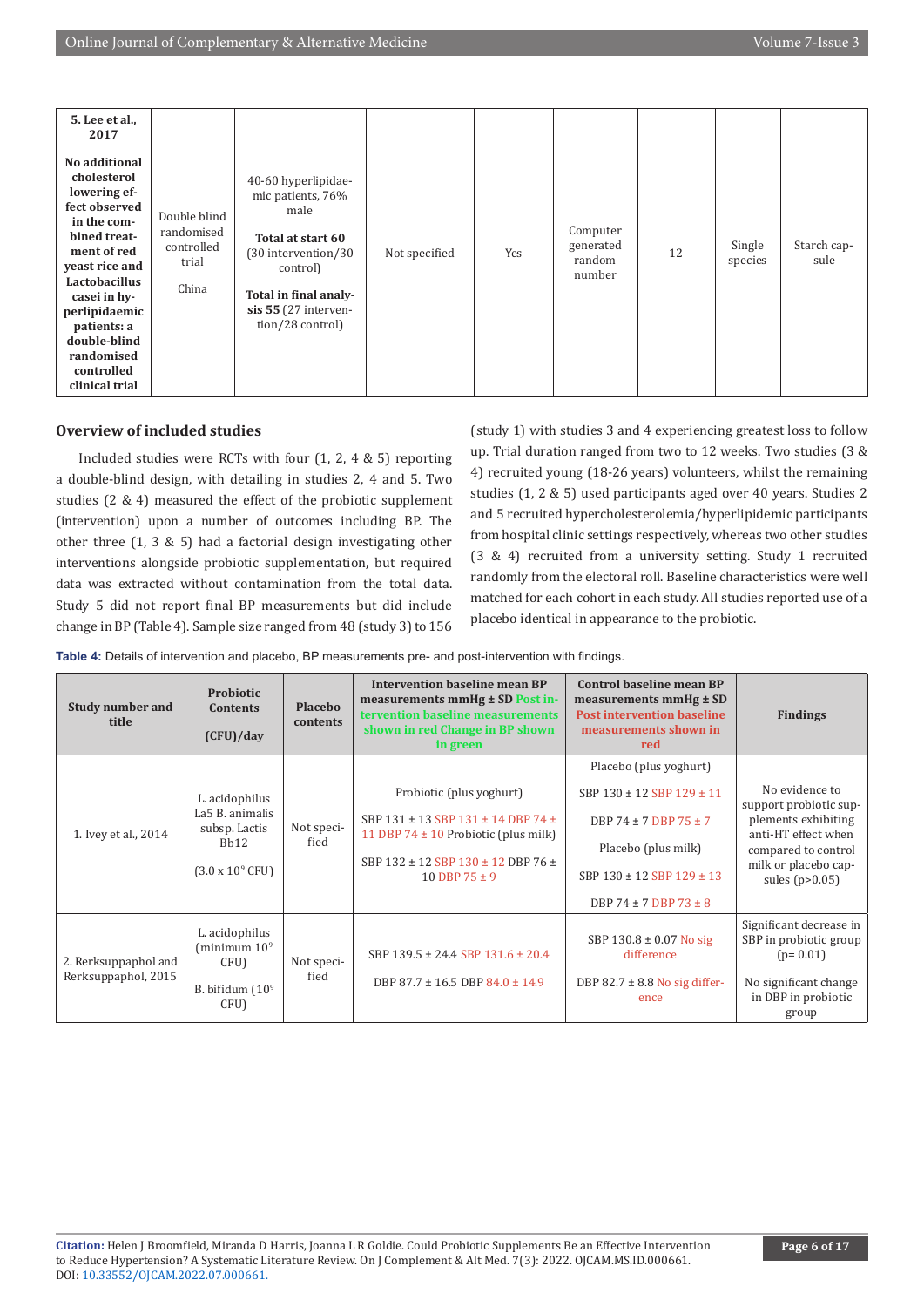| 5. Lee et al.,<br>2017<br>No additional<br>cholesterol<br>lowering ef-<br>fect observed<br>in the com-<br>bined treat-<br>ment of red<br>veast rice and<br>Lactobacillus | Double blind<br>randomised<br>controlled<br>trial | 40-60 hyperlipidae-<br>mic patients, 76%<br>male<br>Total at start 60<br>(30 intervention/30<br>control) | Not specified | Yes | Computer<br>generated<br>random<br>number | 12 | Single<br>species | Starch cap-<br>sule |
|--------------------------------------------------------------------------------------------------------------------------------------------------------------------------|---------------------------------------------------|----------------------------------------------------------------------------------------------------------|---------------|-----|-------------------------------------------|----|-------------------|---------------------|
| casei in hy-<br>perlipidaemic<br>patients: a<br>double-blind<br>randomised<br>controlled<br>clinical trial                                                               | China                                             | Total in final analy-<br>sis 55 (27 interven-<br>tion/28 control)                                        |               |     |                                           |    |                   |                     |

### **Overview of included studies**

Included studies were RCTs with four (1, 2, 4 & 5) reporting a double-blind design, with detailing in studies 2, 4 and 5. Two studies (2 & 4) measured the effect of the probiotic supplement (intervention) upon a number of outcomes including BP. The other three (1, 3 & 5) had a factorial design investigating other interventions alongside probiotic supplementation, but required data was extracted without contamination from the total data. Study 5 did not report final BP measurements but did include change in BP (Table 4). Sample size ranged from 48 (study 3) to 156

(study 1) with studies 3 and 4 experiencing greatest loss to follow up. Trial duration ranged from two to 12 weeks. Two studies (3 & 4) recruited young (18-26 years) volunteers, whilst the remaining studies (1, 2 & 5) used participants aged over 40 years. Studies 2 and 5 recruited hypercholesterolemia/hyperlipidemic participants from hospital clinic settings respectively, whereas two other studies (3 & 4) recruited from a university setting. Study 1 recruited randomly from the electoral roll. Baseline characteristics were well matched for each cohort in each study. All studies reported use of a placebo identical in appearance to the probiotic.

**Table 4:** Details of intervention and placebo, BP measurements pre- and post-intervention with findings.

| <b>Study number and</b><br>title            | <b>Probiotic</b><br><b>Contents</b><br>(CFU)/day                                                | <b>Placebo</b><br>contents | Intervention baseline mean BP<br>measurements mmHg ± SD Post in-<br>tervention baseline measurements<br>shown in red Change in BP shown<br>in green                   | <b>Control baseline mean BP</b><br>measurements $mmHg \pm SD$<br><b>Post intervention baseline</b><br>measurements shown in<br>red                                        | <b>Findings</b>                                                                                                                                           |
|---------------------------------------------|-------------------------------------------------------------------------------------------------|----------------------------|-----------------------------------------------------------------------------------------------------------------------------------------------------------------------|---------------------------------------------------------------------------------------------------------------------------------------------------------------------------|-----------------------------------------------------------------------------------------------------------------------------------------------------------|
| 1. Ivey et al., 2014                        | L. acidophilus<br>La5 B. animalis<br>subsp. Lactis<br>Bh12<br>$(3.0 \times 10^{9} \text{ CFU})$ | Not speci-<br>fied         | Probiotic (plus yoghurt)<br>SBP 131 ± 13 SBP 131 ± 14 DBP 74 ±<br>11 DBP 74 $\pm$ 10 Probiotic (plus milk)<br>SBP 132 ± 12 SBP 130 ± 12 DBP 76 ±<br>10 DBP $75 \pm 9$ | Placebo (plus yoghurt)<br>SBP 130 ± 12 SBP 129 ± 11<br>DBP 74 $\pm$ 7 DBP 75 $\pm$ 7<br>Placebo (plus milk)<br>SBP 130 ± 12 SBP 129 ± 13<br>DBP 74 $\pm$ 7 DBP 73 $\pm$ 8 | No evidence to<br>support probiotic sup-<br>plements exhibiting<br>anti-HT effect when<br>compared to control<br>milk or placebo cap-<br>sules $(p>0.05)$ |
| 2. Rerksuppaphol and<br>Rerksuppaphol, 2015 | L. acidophilus<br>(minimum $10^9$<br>CFU)<br>B. bifidum $(10^9)$<br>CFU)                        | Not speci-<br>fied         | SBP $139.5 \pm 24.4$ SBP $131.6 \pm 20.4$<br>DBP $87.7 \pm 16.5$ DBP $84.0 \pm 14.9$                                                                                  | SBP $130.8 \pm 0.07$ No sig<br>difference<br>DBP $82.7 \pm 8.8$ No sig differ-<br>ence                                                                                    | Significant decrease in<br>SBP in probiotic group<br>$(p=0.01)$<br>No significant change<br>in DBP in probiotic<br>group                                  |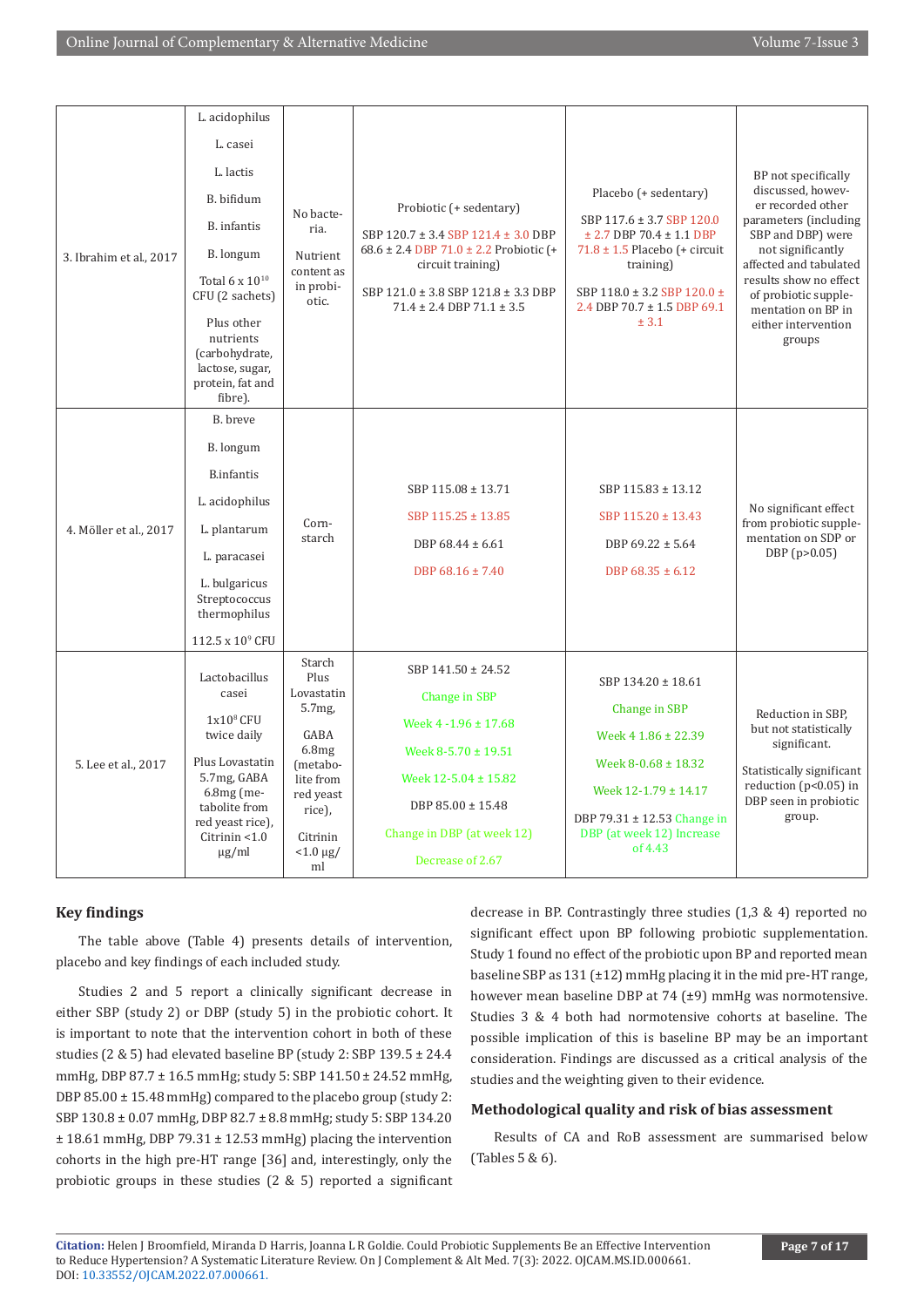|                         | L. acidophilus                                                                              |                                  |                                                                |                                                                             |                                                                      |
|-------------------------|---------------------------------------------------------------------------------------------|----------------------------------|----------------------------------------------------------------|-----------------------------------------------------------------------------|----------------------------------------------------------------------|
|                         | L. casei                                                                                    |                                  |                                                                |                                                                             |                                                                      |
|                         | L. lactis                                                                                   | No bacte-<br>ria.                |                                                                |                                                                             | BP not specifically                                                  |
|                         | B. bifidum                                                                                  |                                  |                                                                | Placebo (+ sedentary)                                                       | discussed, howev-<br>er recorded other                               |
|                         | B. infantis                                                                                 |                                  | Probiotic (+ sedentary)<br>SBP 120.7 ± 3.4 SBP 121.4 ± 3.0 DBP | SBP 117.6 ± 3.7 SBP 120.0<br>$± 2.7$ DBP 70.4 $± 1.1$ DBP                   | parameters (including<br>SBP and DBP) were                           |
| 3. Ibrahim et al., 2017 | B. longum                                                                                   | Nutrient                         | $68.6 \pm 2.4$ DBP 71.0 $\pm$ 2.2 Probiotic (+                 | $71.8 \pm 1.5$ Placebo (+ circuit                                           | not significantly<br>affected and tabulated                          |
|                         | Total 6 x 10 <sup>10</sup><br>CFU (2 sachets)                                               | content as<br>in probi-<br>otic. | circuit training)<br>SBP 121.0 ± 3.8 SBP 121.8 ± 3.3 DBP       | training)<br>SBP 118.0 ± 3.2 SBP 120.0 ±<br>2.4 DBP 70.7 $\pm$ 1.5 DBP 69.1 | results show no effect<br>of probiotic supple-<br>mentation on BP in |
|                         | Plus other<br>nutrients<br>(carbohydrate,<br>lactose, sugar,<br>protein, fat and<br>fibre). |                                  | $71.4 \pm 2.4$ DBP $71.1 \pm 3.5$                              | ± 3.1                                                                       | either intervention<br>groups                                        |
|                         | B. breve                                                                                    |                                  |                                                                |                                                                             |                                                                      |
|                         | B. longum                                                                                   |                                  |                                                                |                                                                             |                                                                      |
|                         | <b>B.infantis</b>                                                                           |                                  |                                                                |                                                                             |                                                                      |
|                         | L. acidophilus                                                                              |                                  | SBP 115.08 ± 13.71                                             | SBP 115.83 ± 13.12                                                          | No significant effect                                                |
| 4. Möller et al., 2017  | L. plantarum                                                                                | Corn-<br>starch                  | SBP 115.25 ± 13.85                                             | SBP $115.20 \pm 13.43$                                                      | from probiotic supple-<br>mentation on SDP or                        |
|                         | L. paracasei                                                                                |                                  | DBP 68.44 ± 6.61                                               | DBP $69.22 \pm 5.64$                                                        | DBP (p>0.05)                                                         |
|                         | L. bulgaricus<br>Streptococcus<br>thermophilus                                              |                                  | DBP 68.16 ± 7.40                                               | DBP $68.35 \pm 6.12$                                                        |                                                                      |
|                         | 112.5 x 10 <sup>9</sup> CFU                                                                 |                                  |                                                                |                                                                             |                                                                      |
|                         | Lactobacillus<br>casei                                                                      | Starch<br>Plus<br>Lovastatin     | SBP $141.50 \pm 24.52$                                         | SBP $134.20 \pm 18.61$                                                      |                                                                      |
| 5. Lee et al., 2017     |                                                                                             | 5.7 <sub>mg</sub>                | <b>Change in SBP</b>                                           | Change in SBP<br>Week 4 1.86 ± 22.39<br>Week 8-0.68 ± 18.32                 | Reduction in SBP,                                                    |
|                         | $1x108$ CFU<br>twice daily                                                                  | GABA                             | Week 4 - 1.96 ± 17.68                                          |                                                                             | but not statistically                                                |
|                         | Plus Lovastatin                                                                             | 6.8mg<br>(metabo-                | Week $8-5.70 \pm 19.51$                                        |                                                                             | significant.                                                         |
|                         | 5.7mg, GABA<br>$6.8mg$ (me-                                                                 | lite from                        | Week 12-5.04 ± 15.82                                           | Week 12-1.79 ± 14.17                                                        | Statistically significant<br>reduction ( $p<0.05$ ) in               |
|                         | tabolite from                                                                               | red yeast<br>rice),              | DBP 85.00 ± 15.48                                              | DBP 79.31 ± 12.53 Change in                                                 | DBP seen in probiotic<br>group.                                      |
|                         | red yeast rice),<br>Citrinin <1.0                                                           | Citrinin                         | Change in DBP (at week 12)                                     | DBP (at week 12) Increase                                                   |                                                                      |
|                         | $\mu$ g/ml                                                                                  | $< 1.0 \mu g/$<br>ml             | Decrease of 2.67                                               | of 4.43                                                                     |                                                                      |

#### **Key findings**

The table above (Table 4) presents details of intervention, placebo and key findings of each included study.

Studies 2 and 5 report a clinically significant decrease in either SBP (study 2) or DBP (study 5) in the probiotic cohort. It is important to note that the intervention cohort in both of these studies (2 & 5) had elevated baseline BP (study 2: SBP 139.5 ± 24.4 mmHg, DBP 87.7 ± 16.5 mmHg; study 5: SBP 141.50 ± 24.52 mmHg, DBP 85.00 ± 15.48 mmHg) compared to the placebo group (study 2: SBP 130.8 ± 0.07 mmHg, DBP 82.7 ± 8.8 mmHg; study 5: SBP 134.20 ± 18.61 mmHg, DBP 79.31 ± 12.53 mmHg) placing the intervention cohorts in the high pre-HT range [36] and, interestingly, only the probiotic groups in these studies (2 & 5) reported a significant

decrease in BP. Contrastingly three studies (1,3 & 4) reported no significant effect upon BP following probiotic supplementation. Study 1 found no effect of the probiotic upon BP and reported mean baseline SBP as 131 (±12) mmHg placing it in the mid pre-HT range, however mean baseline DBP at 74 (±9) mmHg was normotensive. Studies 3 & 4 both had normotensive cohorts at baseline. The possible implication of this is baseline BP may be an important consideration. Findings are discussed as a critical analysis of the studies and the weighting given to their evidence.

#### **Methodological quality and risk of bias assessment**

Results of CA and RoB assessment are summarised below (Tables 5 & 6).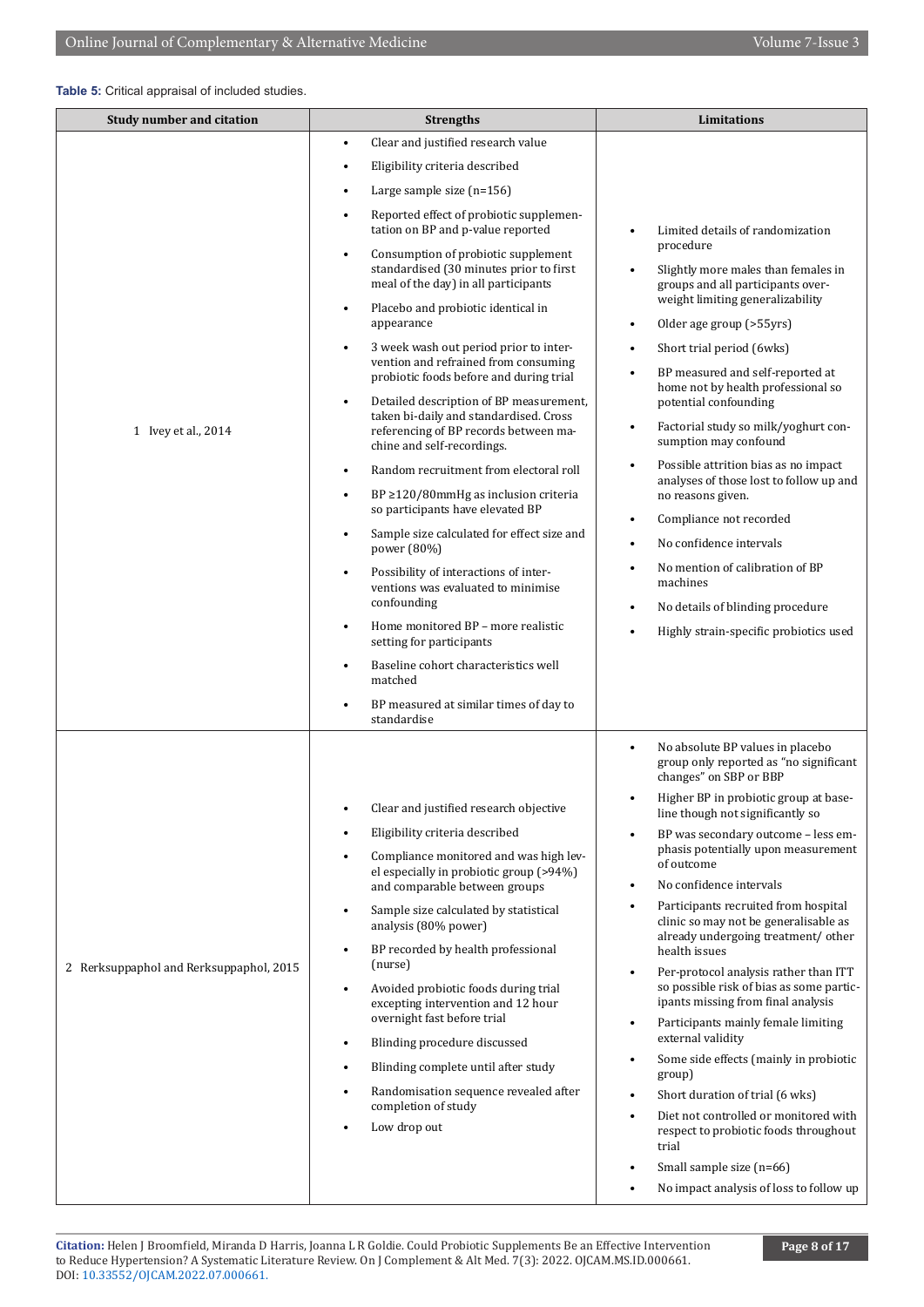#### **Table 5:** Critical appraisal of included studies.

| <b>Study number and citation</b>        | <b>Strengths</b>                                                                                                                                                                                                                                                                                                                                                                                                                                                                                                                                                                                                                                                                                                                                                                                                                                                                                                                                                                                                            | Limitations                                                                                                                                                                                                                                                                                                                                                                                                                                                                                                                                                                                                                                                                                                                                                                                                                                                                                                                                                                                               |  |  |
|-----------------------------------------|-----------------------------------------------------------------------------------------------------------------------------------------------------------------------------------------------------------------------------------------------------------------------------------------------------------------------------------------------------------------------------------------------------------------------------------------------------------------------------------------------------------------------------------------------------------------------------------------------------------------------------------------------------------------------------------------------------------------------------------------------------------------------------------------------------------------------------------------------------------------------------------------------------------------------------------------------------------------------------------------------------------------------------|-----------------------------------------------------------------------------------------------------------------------------------------------------------------------------------------------------------------------------------------------------------------------------------------------------------------------------------------------------------------------------------------------------------------------------------------------------------------------------------------------------------------------------------------------------------------------------------------------------------------------------------------------------------------------------------------------------------------------------------------------------------------------------------------------------------------------------------------------------------------------------------------------------------------------------------------------------------------------------------------------------------|--|--|
|                                         | Clear and justified research value<br>٠                                                                                                                                                                                                                                                                                                                                                                                                                                                                                                                                                                                                                                                                                                                                                                                                                                                                                                                                                                                     |                                                                                                                                                                                                                                                                                                                                                                                                                                                                                                                                                                                                                                                                                                                                                                                                                                                                                                                                                                                                           |  |  |
|                                         | Eligibility criteria described<br>$\bullet$                                                                                                                                                                                                                                                                                                                                                                                                                                                                                                                                                                                                                                                                                                                                                                                                                                                                                                                                                                                 |                                                                                                                                                                                                                                                                                                                                                                                                                                                                                                                                                                                                                                                                                                                                                                                                                                                                                                                                                                                                           |  |  |
|                                         | Large sample size $(n=156)$<br>٠                                                                                                                                                                                                                                                                                                                                                                                                                                                                                                                                                                                                                                                                                                                                                                                                                                                                                                                                                                                            |                                                                                                                                                                                                                                                                                                                                                                                                                                                                                                                                                                                                                                                                                                                                                                                                                                                                                                                                                                                                           |  |  |
|                                         | Reported effect of probiotic supplemen-<br>$\bullet$<br>tation on BP and p-value reported                                                                                                                                                                                                                                                                                                                                                                                                                                                                                                                                                                                                                                                                                                                                                                                                                                                                                                                                   | Limited details of randomization                                                                                                                                                                                                                                                                                                                                                                                                                                                                                                                                                                                                                                                                                                                                                                                                                                                                                                                                                                          |  |  |
| 1 Ivey et al., 2014                     | Consumption of probiotic supplement<br>$\bullet$<br>standardised (30 minutes prior to first<br>meal of the day) in all participants<br>Placebo and probiotic identical in<br>$\bullet$<br>appearance<br>3 week wash out period prior to inter-<br>٠<br>vention and refrained from consuming<br>probiotic foods before and during trial<br>Detailed description of BP measurement,<br>$\bullet$<br>taken bi-daily and standardised. Cross<br>referencing of BP records between ma-<br>chine and self-recordings.<br>Random recruitment from electoral roll<br>$\bullet$<br>$BP \geq 120/80$ mmHg as inclusion criteria<br>٠<br>so participants have elevated BP<br>Sample size calculated for effect size and<br>٠<br>power (80%)<br>Possibility of interactions of inter-<br>٠<br>ventions was evaluated to minimise<br>confounding<br>Home monitored BP - more realistic<br>٠<br>setting for participants<br>Baseline cohort characteristics well<br>٠<br>matched<br>BP measured at similar times of day to<br>standardise | procedure<br>Slightly more males than females in<br>$\bullet$<br>groups and all participants over-<br>weight limiting generalizability<br>Older age group (>55yrs)<br>$\bullet$<br>Short trial period (6wks)<br>$\bullet$<br>BP measured and self-reported at<br>$\bullet$<br>home not by health professional so<br>potential confounding<br>Factorial study so milk/yoghurt con-<br>$\bullet$<br>sumption may confound<br>Possible attrition bias as no impact<br>$\bullet$<br>analyses of those lost to follow up and<br>no reasons given.<br>Compliance not recorded<br>$\bullet$<br>No confidence intervals<br>$\bullet$<br>No mention of calibration of BP<br>$\bullet$<br>machines<br>No details of blinding procedure<br>$\bullet$<br>Highly strain-specific probiotics used                                                                                                                                                                                                                       |  |  |
| 2 Rerksuppaphol and Rerksuppaphol, 2015 | Clear and justified research objective<br>$\bullet$<br>Eligibility criteria described<br>٠<br>Compliance monitored and was high lev-<br>el especially in probiotic group (>94%)<br>and comparable between groups<br>Sample size calculated by statistical<br>$\bullet$<br>analysis (80% power)<br>BP recorded by health professional<br>$\bullet$<br>(nurse)<br>Avoided probiotic foods during trial<br>$\bullet$<br>excepting intervention and 12 hour<br>overnight fast before trial<br>Blinding procedure discussed<br>$\bullet$<br>Blinding complete until after study<br>٠<br>Randomisation sequence revealed after<br>٠<br>completion of study<br>Low drop out                                                                                                                                                                                                                                                                                                                                                        | No absolute BP values in placebo<br>$\bullet$<br>group only reported as "no significant<br>changes" on SBP or BBP<br>Higher BP in probiotic group at base-<br>line though not significantly so<br>BP was secondary outcome - less em-<br>phasis potentially upon measurement<br>of outcome<br>No confidence intervals<br>$\bullet$<br>Participants recruited from hospital<br>$\bullet$<br>clinic so may not be generalisable as<br>already undergoing treatment/ other<br>health issues<br>Per-protocol analysis rather than ITT<br>$\bullet$<br>so possible risk of bias as some partic-<br>ipants missing from final analysis<br>Participants mainly female limiting<br>$\bullet$<br>external validity<br>Some side effects (mainly in probiotic<br>$\bullet$<br>group)<br>Short duration of trial (6 wks)<br>$\bullet$<br>Diet not controlled or monitored with<br>respect to probiotic foods throughout<br>trial<br>Small sample size (n=66)<br>$\bullet$<br>No impact analysis of loss to follow up |  |  |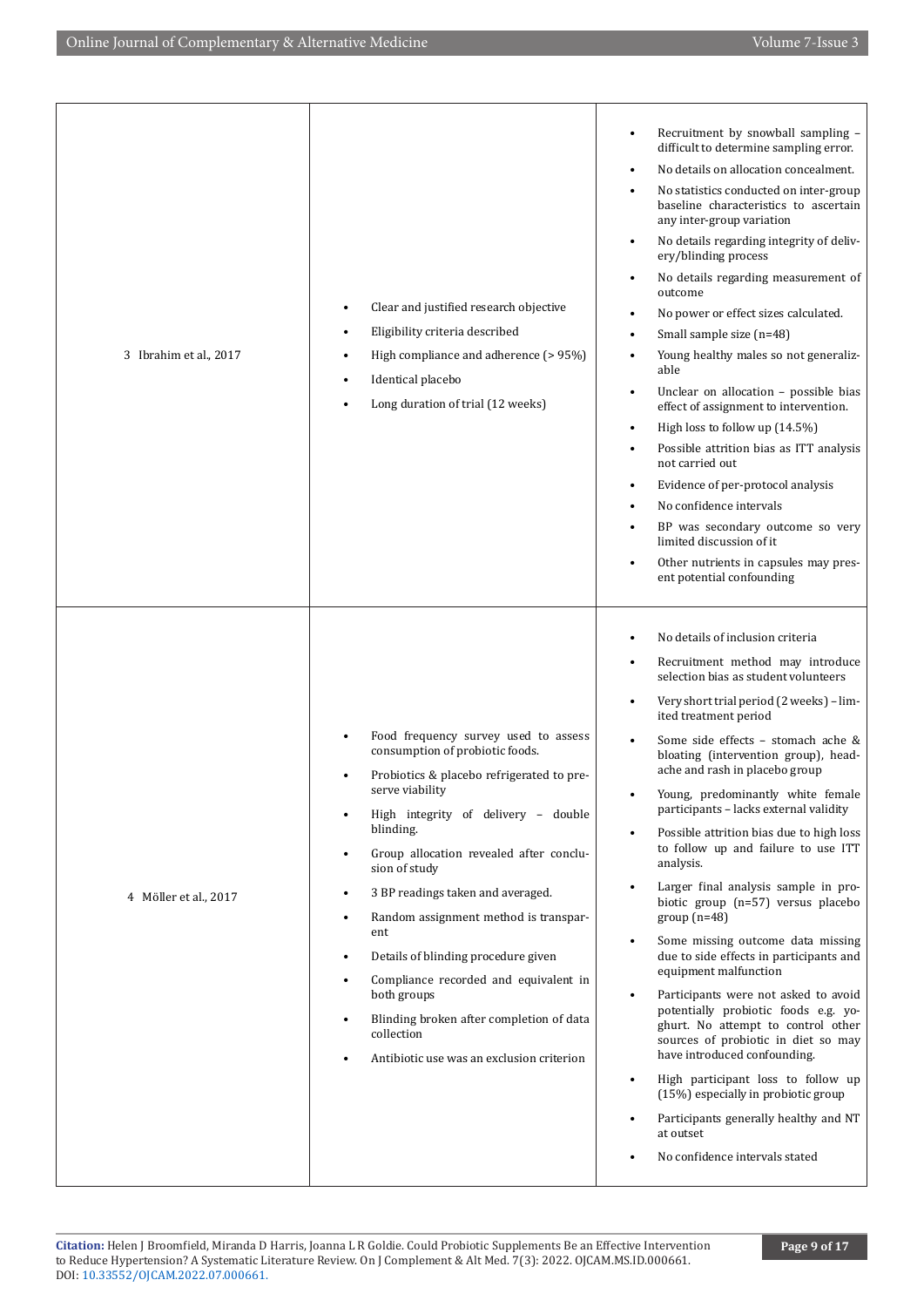|                        |                                                                                                                                                                                                                                                                                                                                                                                                                                                                                                                                                                                           | Recruitment by snowball sampling -<br>٠<br>difficult to determine sampling error.<br>No details on allocation concealment.<br>$\bullet$                                                                                                                                                                                                                                                                                                                                                                                                                                                                                                                                                                                                                                                                                                                                                                                                                                                                                                                                                                                                                                 |
|------------------------|-------------------------------------------------------------------------------------------------------------------------------------------------------------------------------------------------------------------------------------------------------------------------------------------------------------------------------------------------------------------------------------------------------------------------------------------------------------------------------------------------------------------------------------------------------------------------------------------|-------------------------------------------------------------------------------------------------------------------------------------------------------------------------------------------------------------------------------------------------------------------------------------------------------------------------------------------------------------------------------------------------------------------------------------------------------------------------------------------------------------------------------------------------------------------------------------------------------------------------------------------------------------------------------------------------------------------------------------------------------------------------------------------------------------------------------------------------------------------------------------------------------------------------------------------------------------------------------------------------------------------------------------------------------------------------------------------------------------------------------------------------------------------------|
| 3 Ibrahim et al., 2017 | Clear and justified research objective<br>$\bullet$<br>Eligibility criteria described<br>High compliance and adherence (> 95%)<br>Identical placebo<br>Long duration of trial (12 weeks)                                                                                                                                                                                                                                                                                                                                                                                                  | No statistics conducted on inter-group<br>$\bullet$<br>baseline characteristics to ascertain<br>any inter-group variation<br>No details regarding integrity of deliv-<br>$\bullet$<br>ery/blinding process<br>No details regarding measurement of<br>outcome<br>No power or effect sizes calculated.<br>Small sample size (n=48)<br>Young healthy males so not generaliz-<br>$\bullet$<br>able<br>Unclear on allocation - possible bias<br>$\bullet$<br>effect of assignment to intervention.<br>High loss to follow up (14.5%)<br>$\bullet$<br>Possible attrition bias as ITT analysis<br>$\bullet$<br>not carried out<br>Evidence of per-protocol analysis<br>$\bullet$<br>No confidence intervals<br>$\bullet$<br>BP was secondary outcome so very<br>$\bullet$<br>limited discussion of it.<br>Other nutrients in capsules may pres-<br>$\bullet$<br>ent potential confounding                                                                                                                                                                                                                                                                                      |
| 4 Möller et al., 2017  | Food frequency survey used to assess<br>consumption of probiotic foods.<br>Probiotics & placebo refrigerated to pre-<br>serve viability<br>High integrity of delivery - double<br>blinding.<br>Group allocation revealed after conclu-<br>sion of study<br>3 BP readings taken and averaged.<br>$\bullet$<br>Random assignment method is transpar-<br>$\bullet$<br>ent<br>Details of blinding procedure given<br>$\bullet$<br>Compliance recorded and equivalent in<br>both groups<br>Blinding broken after completion of data<br>collection<br>Antibiotic use was an exclusion criterion | No details of inclusion criteria<br>٠<br>Recruitment method may introduce<br>$\bullet$<br>selection bias as student volunteers<br>Very short trial period (2 weeks) - lim-<br>$\bullet$<br>ited treatment period<br>Some side effects - stomach ache &<br>bloating (intervention group), head-<br>ache and rash in placebo group<br>Young, predominantly white female<br>participants - lacks external validity<br>Possible attrition bias due to high loss<br>$\bullet$<br>to follow up and failure to use ITT<br>analysis.<br>Larger final analysis sample in pro-<br>$\bullet$<br>biotic group (n=57) versus placebo<br>$group(n=48)$<br>Some missing outcome data missing<br>$\bullet$<br>due to side effects in participants and<br>equipment malfunction<br>Participants were not asked to avoid<br>$\bullet$<br>potentially probiotic foods e.g. yo-<br>ghurt. No attempt to control other<br>sources of probiotic in diet so may<br>have introduced confounding.<br>High participant loss to follow up<br>$\bullet$<br>(15%) especially in probiotic group<br>Participants generally healthy and NT<br>$\bullet$<br>at outset<br>No confidence intervals stated |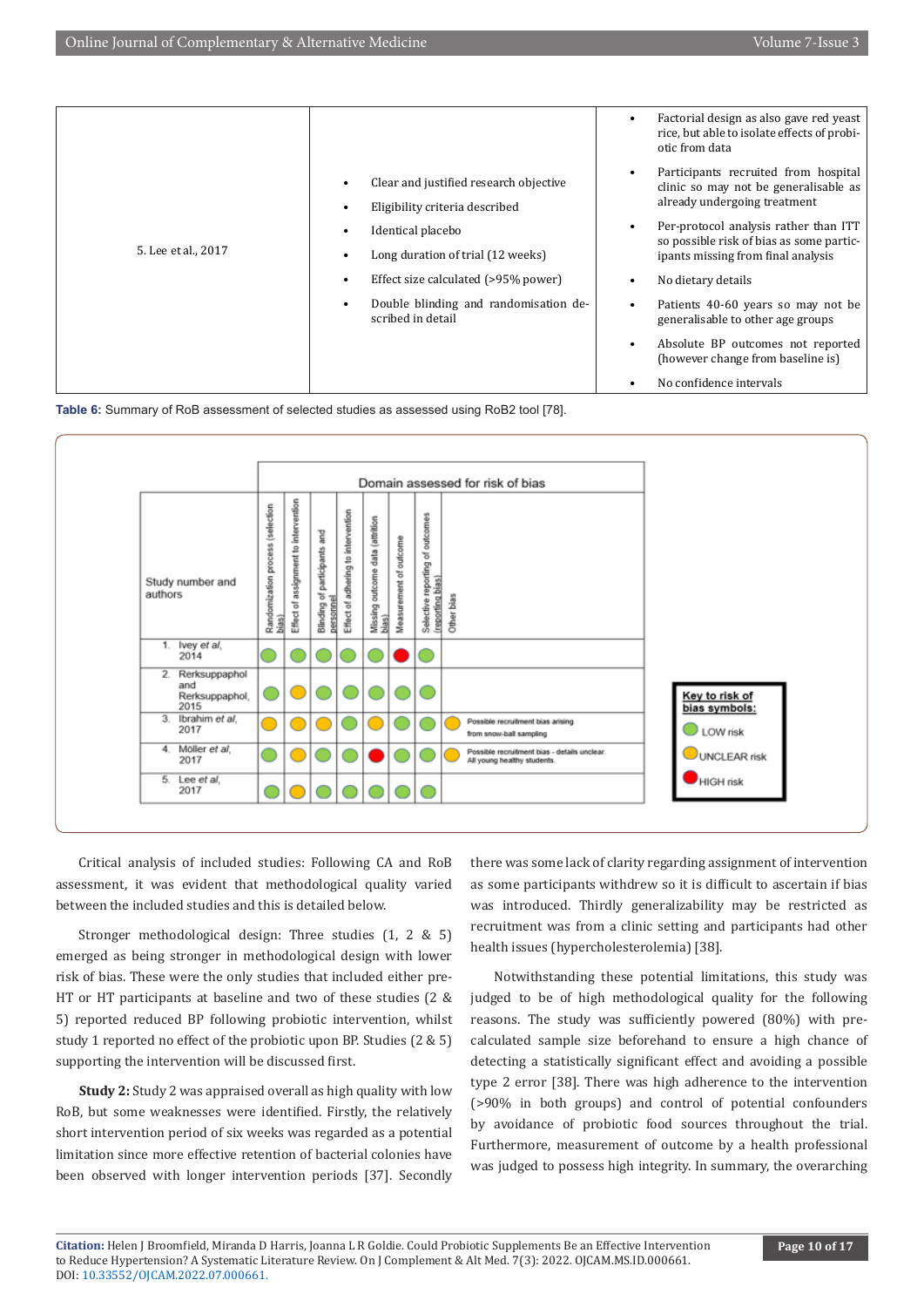

**Table 6:** Summary of RoB assessment of selected studies as assessed using RoB2 tool [78].



Critical analysis of included studies: Following CA and RoB assessment, it was evident that methodological quality varied between the included studies and this is detailed below.

Stronger methodological design: Three studies (1, 2 & 5) emerged as being stronger in methodological design with lower risk of bias. These were the only studies that included either pre-HT or HT participants at baseline and two of these studies (2 & 5) reported reduced BP following probiotic intervention, whilst study 1 reported no effect of the probiotic upon BP. Studies (2 & 5) supporting the intervention will be discussed first.

**Study 2:** Study 2 was appraised overall as high quality with low RoB, but some weaknesses were identified. Firstly, the relatively short intervention period of six weeks was regarded as a potential limitation since more effective retention of bacterial colonies have been observed with longer intervention periods [37]. Secondly

there was some lack of clarity regarding assignment of intervention as some participants withdrew so it is difficult to ascertain if bias was introduced. Thirdly generalizability may be restricted as recruitment was from a clinic setting and participants had other health issues (hypercholesterolemia) [38].

Notwithstanding these potential limitations, this study was judged to be of high methodological quality for the following reasons. The study was sufficiently powered (80%) with precalculated sample size beforehand to ensure a high chance of detecting a statistically significant effect and avoiding a possible type 2 error [38]. There was high adherence to the intervention (>90% in both groups) and control of potential confounders by avoidance of probiotic food sources throughout the trial. Furthermore, measurement of outcome by a health professional was judged to possess high integrity. In summary, the overarching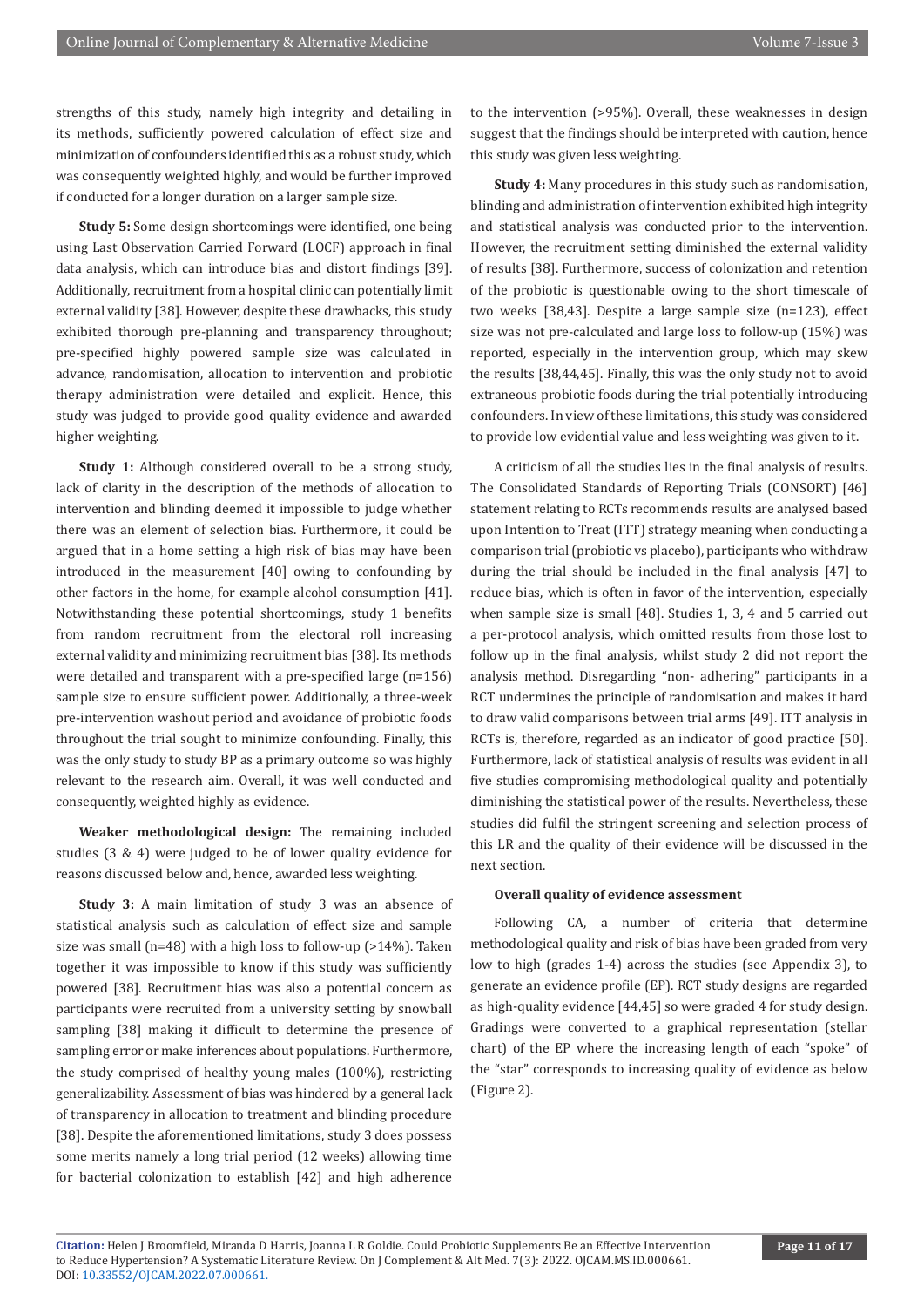strengths of this study, namely high integrity and detailing in its methods, sufficiently powered calculation of effect size and minimization of confounders identified this as a robust study, which was consequently weighted highly, and would be further improved if conducted for a longer duration on a larger sample size.

**Study 5:** Some design shortcomings were identified, one being using Last Observation Carried Forward (LOCF) approach in final data analysis, which can introduce bias and distort findings [39]. Additionally, recruitment from a hospital clinic can potentially limit external validity [38]. However, despite these drawbacks, this study exhibited thorough pre-planning and transparency throughout; pre-specified highly powered sample size was calculated in advance, randomisation, allocation to intervention and probiotic therapy administration were detailed and explicit. Hence, this study was judged to provide good quality evidence and awarded higher weighting.

**Study 1:** Although considered overall to be a strong study, lack of clarity in the description of the methods of allocation to intervention and blinding deemed it impossible to judge whether there was an element of selection bias. Furthermore, it could be argued that in a home setting a high risk of bias may have been introduced in the measurement [40] owing to confounding by other factors in the home, for example alcohol consumption [41]. Notwithstanding these potential shortcomings, study 1 benefits from random recruitment from the electoral roll increasing external validity and minimizing recruitment bias [38]. Its methods were detailed and transparent with a pre-specified large (n=156) sample size to ensure sufficient power. Additionally, a three-week pre-intervention washout period and avoidance of probiotic foods throughout the trial sought to minimize confounding. Finally, this was the only study to study BP as a primary outcome so was highly relevant to the research aim. Overall, it was well conducted and consequently, weighted highly as evidence.

**Weaker methodological design:** The remaining included studies (3 & 4) were judged to be of lower quality evidence for reasons discussed below and, hence, awarded less weighting.

**Study 3:** A main limitation of study 3 was an absence of statistical analysis such as calculation of effect size and sample size was small (n=48) with a high loss to follow-up (>14%). Taken together it was impossible to know if this study was sufficiently powered [38]. Recruitment bias was also a potential concern as participants were recruited from a university setting by snowball sampling [38] making it difficult to determine the presence of sampling error or make inferences about populations. Furthermore, the study comprised of healthy young males (100%), restricting generalizability. Assessment of bias was hindered by a general lack of transparency in allocation to treatment and blinding procedure [38]. Despite the aforementioned limitations, study 3 does possess some merits namely a long trial period (12 weeks) allowing time for bacterial colonization to establish [42] and high adherence

to the intervention (>95%). Overall, these weaknesses in design suggest that the findings should be interpreted with caution, hence this study was given less weighting.

**Study 4:** Many procedures in this study such as randomisation, blinding and administration of intervention exhibited high integrity and statistical analysis was conducted prior to the intervention. However, the recruitment setting diminished the external validity of results [38]. Furthermore, success of colonization and retention of the probiotic is questionable owing to the short timescale of two weeks [38,43]. Despite a large sample size (n=123), effect size was not pre-calculated and large loss to follow-up (15%) was reported, especially in the intervention group, which may skew the results [38,44,45]. Finally, this was the only study not to avoid extraneous probiotic foods during the trial potentially introducing confounders. In view of these limitations, this study was considered to provide low evidential value and less weighting was given to it.

A criticism of all the studies lies in the final analysis of results. The Consolidated Standards of Reporting Trials (CONSORT) [46] statement relating to RCTs recommends results are analysed based upon Intention to Treat (ITT) strategy meaning when conducting a comparison trial (probiotic vs placebo), participants who withdraw during the trial should be included in the final analysis [47] to reduce bias, which is often in favor of the intervention, especially when sample size is small [48]. Studies 1, 3, 4 and 5 carried out a per-protocol analysis, which omitted results from those lost to follow up in the final analysis, whilst study 2 did not report the analysis method. Disregarding "non- adhering" participants in a RCT undermines the principle of randomisation and makes it hard to draw valid comparisons between trial arms [49]. ITT analysis in RCTs is, therefore, regarded as an indicator of good practice [50]. Furthermore, lack of statistical analysis of results was evident in all five studies compromising methodological quality and potentially diminishing the statistical power of the results. Nevertheless, these studies did fulfil the stringent screening and selection process of this LR and the quality of their evidence will be discussed in the next section.

#### **Overall quality of evidence assessment**

Following CA, a number of criteria that determine methodological quality and risk of bias have been graded from very low to high (grades 1-4) across the studies (see Appendix 3), to generate an evidence profile (EP). RCT study designs are regarded as high-quality evidence [44,45] so were graded 4 for study design. Gradings were converted to a graphical representation (stellar chart) of the EP where the increasing length of each "spoke" of the "star" corresponds to increasing quality of evidence as below (Figure 2).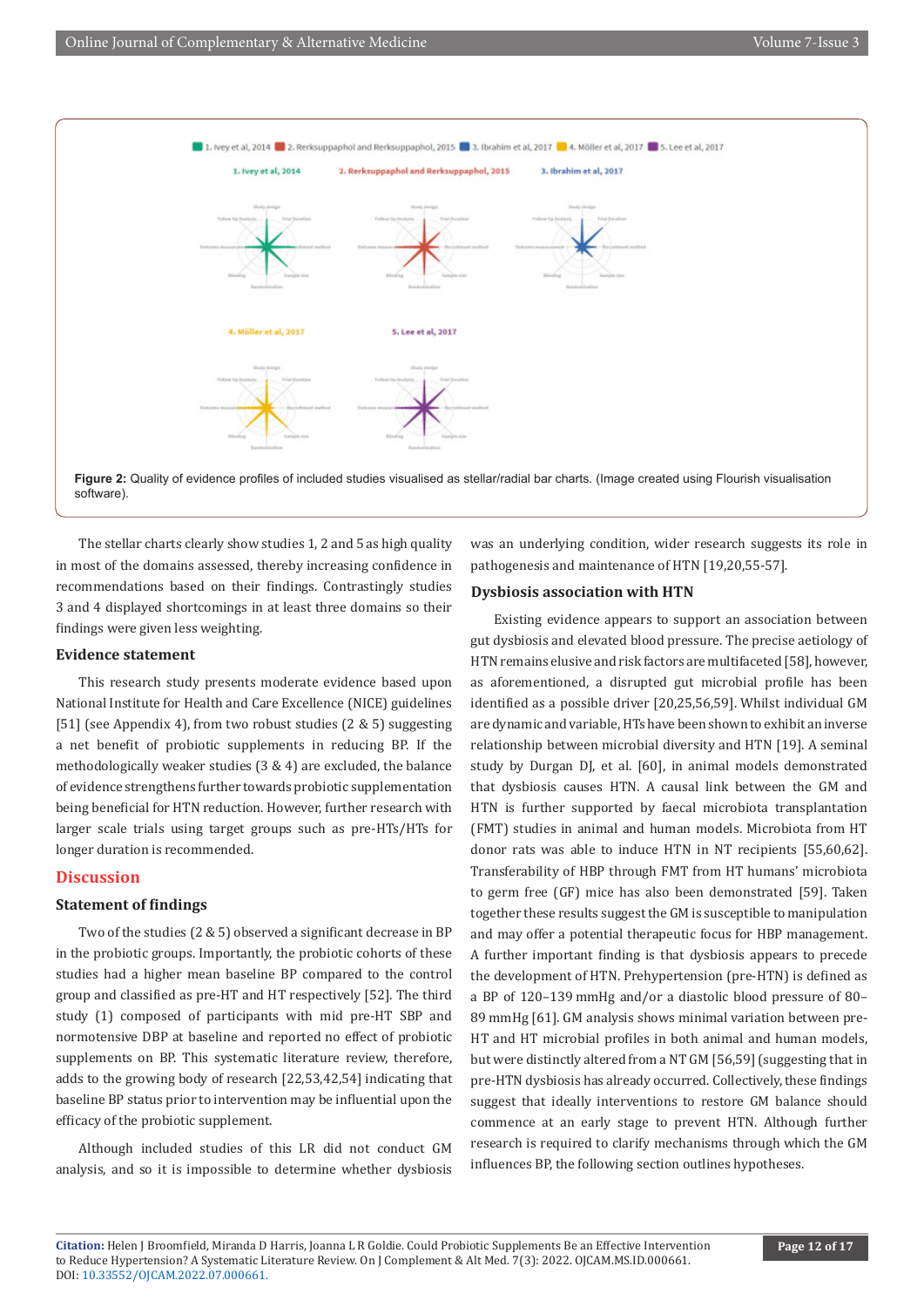

The stellar charts clearly show studies 1, 2 and 5 as high quality in most of the domains assessed, thereby increasing confidence in recommendations based on their findings. Contrastingly studies 3 and 4 displayed shortcomings in at least three domains so their findings were given less weighting.

### **Evidence statement**

This research study presents moderate evidence based upon National Institute for Health and Care Excellence (NICE) guidelines [51] (see Appendix 4), from two robust studies (2 & 5) suggesting a net benefit of probiotic supplements in reducing BP. If the methodologically weaker studies (3 & 4) are excluded, the balance of evidence strengthens further towards probiotic supplementation being beneficial for HTN reduction. However, further research with larger scale trials using target groups such as pre-HTs/HTs for longer duration is recommended.

#### **Discussion**

#### **Statement of findings**

Two of the studies (2 & 5) observed a significant decrease in BP in the probiotic groups. Importantly, the probiotic cohorts of these studies had a higher mean baseline BP compared to the control group and classified as pre-HT and HT respectively [52]. The third study (1) composed of participants with mid pre-HT SBP and normotensive DBP at baseline and reported no effect of probiotic supplements on BP. This systematic literature review, therefore, adds to the growing body of research [22,53,42,54] indicating that baseline BP status prior to intervention may be influential upon the efficacy of the probiotic supplement.

Although included studies of this LR did not conduct GM analysis, and so it is impossible to determine whether dysbiosis was an underlying condition, wider research suggests its role in pathogenesis and maintenance of HTN [19,20,55-57].

#### **Dysbiosis association with HTN**

Existing evidence appears to support an association between gut dysbiosis and elevated blood pressure. The precise aetiology of HTN remains elusive and risk factors are multifaceted [58], however, as aforementioned, a disrupted gut microbial profile has been identified as a possible driver [20,25,56,59]. Whilst individual GM are dynamic and variable, HTs have been shown to exhibit an inverse relationship between microbial diversity and HTN [19]. A seminal study by Durgan DJ, et al. [60], in animal models demonstrated that dysbiosis causes HTN. A causal link between the GM and HTN is further supported by faecal microbiota transplantation (FMT) studies in animal and human models. Microbiota from HT donor rats was able to induce HTN in NT recipients [55,60,62]. Transferability of HBP through FMT from HT humans' microbiota to germ free (GF) mice has also been demonstrated [59]. Taken together these results suggest the GM is susceptible to manipulation and may offer a potential therapeutic focus for HBP management. A further important finding is that dysbiosis appears to precede the development of HTN. Prehypertension (pre-HTN) is defined as a BP of 120–139 mmHg and/or a diastolic blood pressure of 80– 89 mmHg [61]. GM analysis shows minimal variation between pre-HT and HT microbial profiles in both animal and human models, but were distinctly altered from a NT GM [56,59] (suggesting that in pre-HTN dysbiosis has already occurred. Collectively, these findings suggest that ideally interventions to restore GM balance should commence at an early stage to prevent HTN. Although further research is required to clarify mechanisms through which the GM influences BP, the following section outlines hypotheses.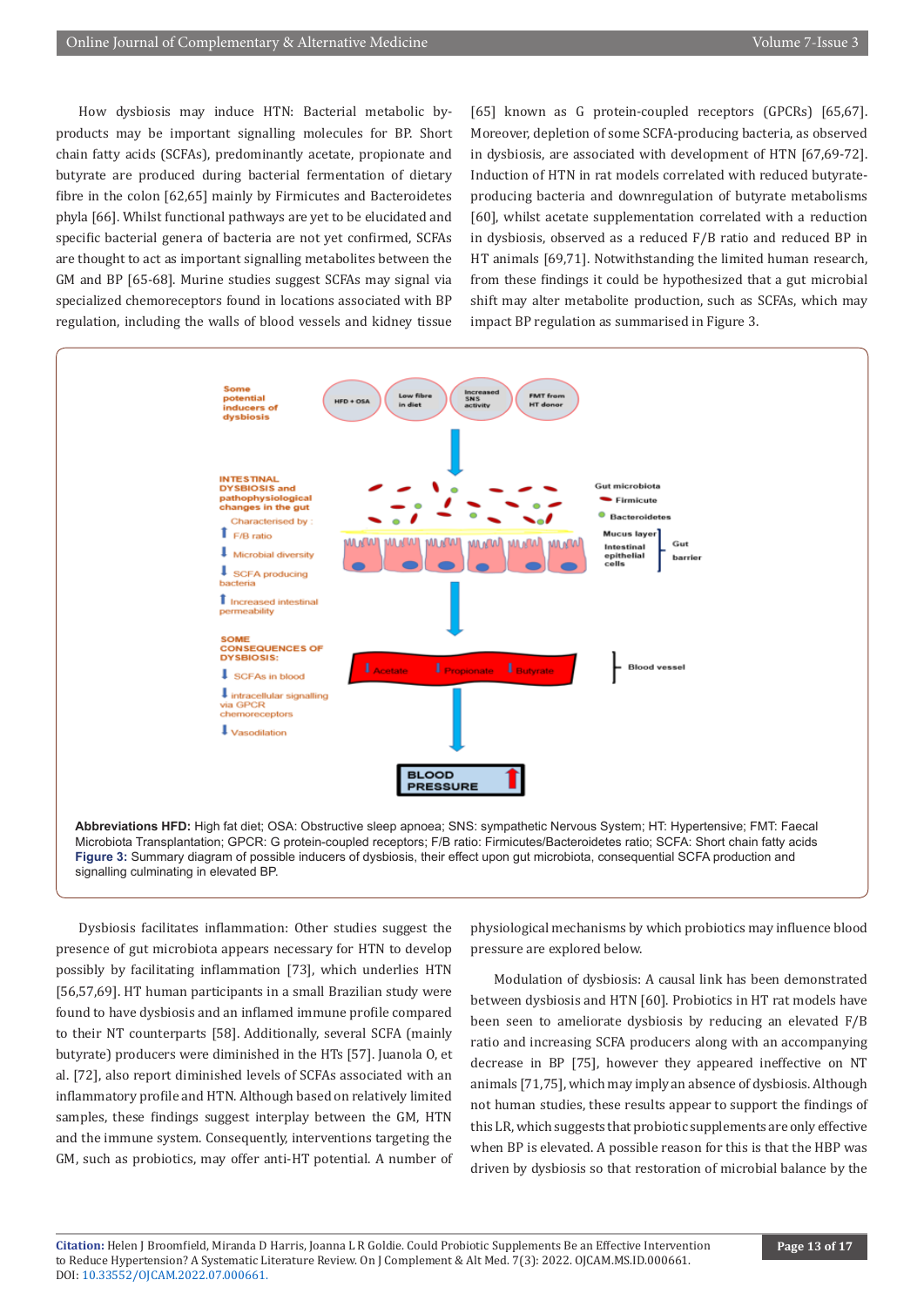How dysbiosis may induce HTN: Bacterial metabolic byproducts may be important signalling molecules for BP. Short chain fatty acids (SCFAs), predominantly acetate, propionate and butyrate are produced during bacterial fermentation of dietary fibre in the colon [62,65] mainly by Firmicutes and Bacteroidetes phyla [66]. Whilst functional pathways are yet to be elucidated and specific bacterial genera of bacteria are not yet confirmed, SCFAs are thought to act as important signalling metabolites between the GM and BP [65-68]. Murine studies suggest SCFAs may signal via specialized chemoreceptors found in locations associated with BP regulation, including the walls of blood vessels and kidney tissue

[65] known as G protein-coupled receptors (GPCRs) [65,67]. Moreover, depletion of some SCFA-producing bacteria, as observed in dysbiosis, are associated with development of HTN [67,69-72]. Induction of HTN in rat models correlated with reduced butyrateproducing bacteria and downregulation of butyrate metabolisms [60], whilst acetate supplementation correlated with a reduction in dysbiosis, observed as a reduced F/B ratio and reduced BP in HT animals [69,71]. Notwithstanding the limited human research, from these findings it could be hypothesized that a gut microbial shift may alter metabolite production, such as SCFAs, which may impact BP regulation as summarised in Figure 3.



Microbiota Transplantation; GPCR: G protein-coupled receptors; F/B ratio: Firmicutes/Bacteroidetes ratio; SCFA: Short chain fatty acids **Figure 3:** Summary diagram of possible inducers of dysbiosis, their effect upon gut microbiota, consequential SCFA production and signalling culminating in elevated BP.

Dysbiosis facilitates inflammation: Other studies suggest the presence of gut microbiota appears necessary for HTN to develop possibly by facilitating inflammation [73], which underlies HTN [56,57,69]. HT human participants in a small Brazilian study were found to have dysbiosis and an inflamed immune profile compared to their NT counterparts [58]. Additionally, several SCFA (mainly butyrate) producers were diminished in the HTs [57]. Juanola O, et al. [72], also report diminished levels of SCFAs associated with an inflammatory profile and HTN. Although based on relatively limited samples, these findings suggest interplay between the GM, HTN and the immune system. Consequently, interventions targeting the GM, such as probiotics, may offer anti-HT potential. A number of physiological mechanisms by which probiotics may influence blood pressure are explored below.

Modulation of dysbiosis: A causal link has been demonstrated between dysbiosis and HTN [60]. Probiotics in HT rat models have been seen to ameliorate dysbiosis by reducing an elevated F/B ratio and increasing SCFA producers along with an accompanying decrease in BP [75], however they appeared ineffective on NT animals [71,75], which may imply an absence of dysbiosis. Although not human studies, these results appear to support the findings of this LR, which suggests that probiotic supplements are only effective when BP is elevated. A possible reason for this is that the HBP was driven by dysbiosis so that restoration of microbial balance by the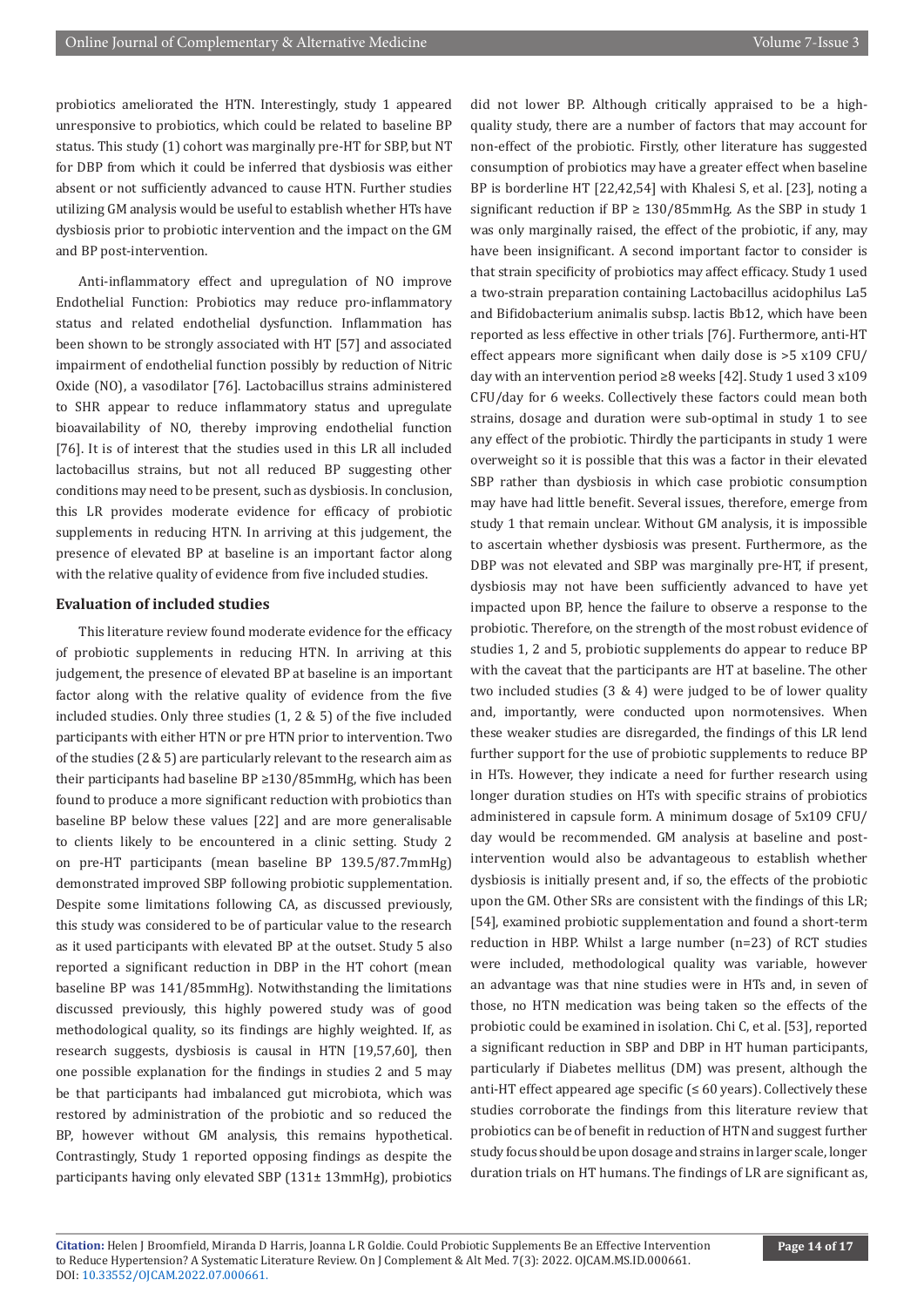probiotics ameliorated the HTN. Interestingly, study 1 appeared unresponsive to probiotics, which could be related to baseline BP status. This study (1) cohort was marginally pre-HT for SBP, but NT for DBP from which it could be inferred that dysbiosis was either absent or not sufficiently advanced to cause HTN. Further studies utilizing GM analysis would be useful to establish whether HTs have dysbiosis prior to probiotic intervention and the impact on the GM and BP post-intervention.

Anti-inflammatory effect and upregulation of NO improve Endothelial Function: Probiotics may reduce pro-inflammatory status and related endothelial dysfunction. Inflammation has been shown to be strongly associated with HT [57] and associated impairment of endothelial function possibly by reduction of Nitric Oxide (NO), a vasodilator [76]. Lactobacillus strains administered to SHR appear to reduce inflammatory status and upregulate bioavailability of NO, thereby improving endothelial function [76]. It is of interest that the studies used in this LR all included lactobacillus strains, but not all reduced BP suggesting other conditions may need to be present, such as dysbiosis. In conclusion, this LR provides moderate evidence for efficacy of probiotic supplements in reducing HTN. In arriving at this judgement, the presence of elevated BP at baseline is an important factor along with the relative quality of evidence from five included studies.

#### **Evaluation of included studies**

This literature review found moderate evidence for the efficacy of probiotic supplements in reducing HTN. In arriving at this judgement, the presence of elevated BP at baseline is an important factor along with the relative quality of evidence from the five included studies. Only three studies (1, 2 & 5) of the five included participants with either HTN or pre HTN prior to intervention. Two of the studies (2 & 5) are particularly relevant to the research aim as their participants had baseline BP ≥130/85mmHg, which has been found to produce a more significant reduction with probiotics than baseline BP below these values [22] and are more generalisable to clients likely to be encountered in a clinic setting. Study 2 on pre-HT participants (mean baseline BP 139.5/87.7mmHg) demonstrated improved SBP following probiotic supplementation. Despite some limitations following CA, as discussed previously, this study was considered to be of particular value to the research as it used participants with elevated BP at the outset. Study 5 also reported a significant reduction in DBP in the HT cohort (mean baseline BP was 141/85mmHg). Notwithstanding the limitations discussed previously, this highly powered study was of good methodological quality, so its findings are highly weighted. If, as research suggests, dysbiosis is causal in HTN [19,57,60], then one possible explanation for the findings in studies 2 and 5 may be that participants had imbalanced gut microbiota, which was restored by administration of the probiotic and so reduced the BP, however without GM analysis, this remains hypothetical. Contrastingly, Study 1 reported opposing findings as despite the participants having only elevated SBP (131± 13mmHg), probiotics

did not lower BP. Although critically appraised to be a highquality study, there are a number of factors that may account for non-effect of the probiotic. Firstly, other literature has suggested consumption of probiotics may have a greater effect when baseline BP is borderline HT [22,42,54] with Khalesi S, et al. [23], noting a significant reduction if  $BP \geq 130/85$ mmHg. As the SBP in study 1 was only marginally raised, the effect of the probiotic, if any, may have been insignificant. A second important factor to consider is that strain specificity of probiotics may affect efficacy. Study 1 used a two-strain preparation containing Lactobacillus acidophilus La5 and Bifidobacterium animalis subsp. lactis Bb12, which have been reported as less effective in other trials [76]. Furthermore, anti-HT effect appears more significant when daily dose is >5 x109 CFU/ day with an intervention period ≥8 weeks [42]. Study 1 used 3 x109 CFU/day for 6 weeks. Collectively these factors could mean both strains, dosage and duration were sub-optimal in study 1 to see any effect of the probiotic. Thirdly the participants in study 1 were overweight so it is possible that this was a factor in their elevated SBP rather than dysbiosis in which case probiotic consumption may have had little benefit. Several issues, therefore, emerge from study 1 that remain unclear. Without GM analysis, it is impossible to ascertain whether dysbiosis was present. Furthermore, as the DBP was not elevated and SBP was marginally pre-HT, if present, dysbiosis may not have been sufficiently advanced to have yet impacted upon BP, hence the failure to observe a response to the probiotic. Therefore, on the strength of the most robust evidence of studies 1, 2 and 5, probiotic supplements do appear to reduce BP with the caveat that the participants are HT at baseline. The other two included studies (3 & 4) were judged to be of lower quality and, importantly, were conducted upon normotensives. When these weaker studies are disregarded, the findings of this LR lend further support for the use of probiotic supplements to reduce BP in HTs. However, they indicate a need for further research using longer duration studies on HTs with specific strains of probiotics administered in capsule form. A minimum dosage of 5x109 CFU/ day would be recommended. GM analysis at baseline and postintervention would also be advantageous to establish whether dysbiosis is initially present and, if so, the effects of the probiotic upon the GM. Other SRs are consistent with the findings of this LR; [54], examined probiotic supplementation and found a short-term reduction in HBP. Whilst a large number (n=23) of RCT studies were included, methodological quality was variable, however an advantage was that nine studies were in HTs and, in seven of those, no HTN medication was being taken so the effects of the probiotic could be examined in isolation. Chi C, et al. [53], reported a significant reduction in SBP and DBP in HT human participants, particularly if Diabetes mellitus (DM) was present, although the anti-HT effect appeared age specific ( $\leq 60$  years). Collectively these studies corroborate the findings from this literature review that probiotics can be of benefit in reduction of HTN and suggest further study focus should be upon dosage and strains in larger scale, longer duration trials on HT humans. The findings of LR are significant as,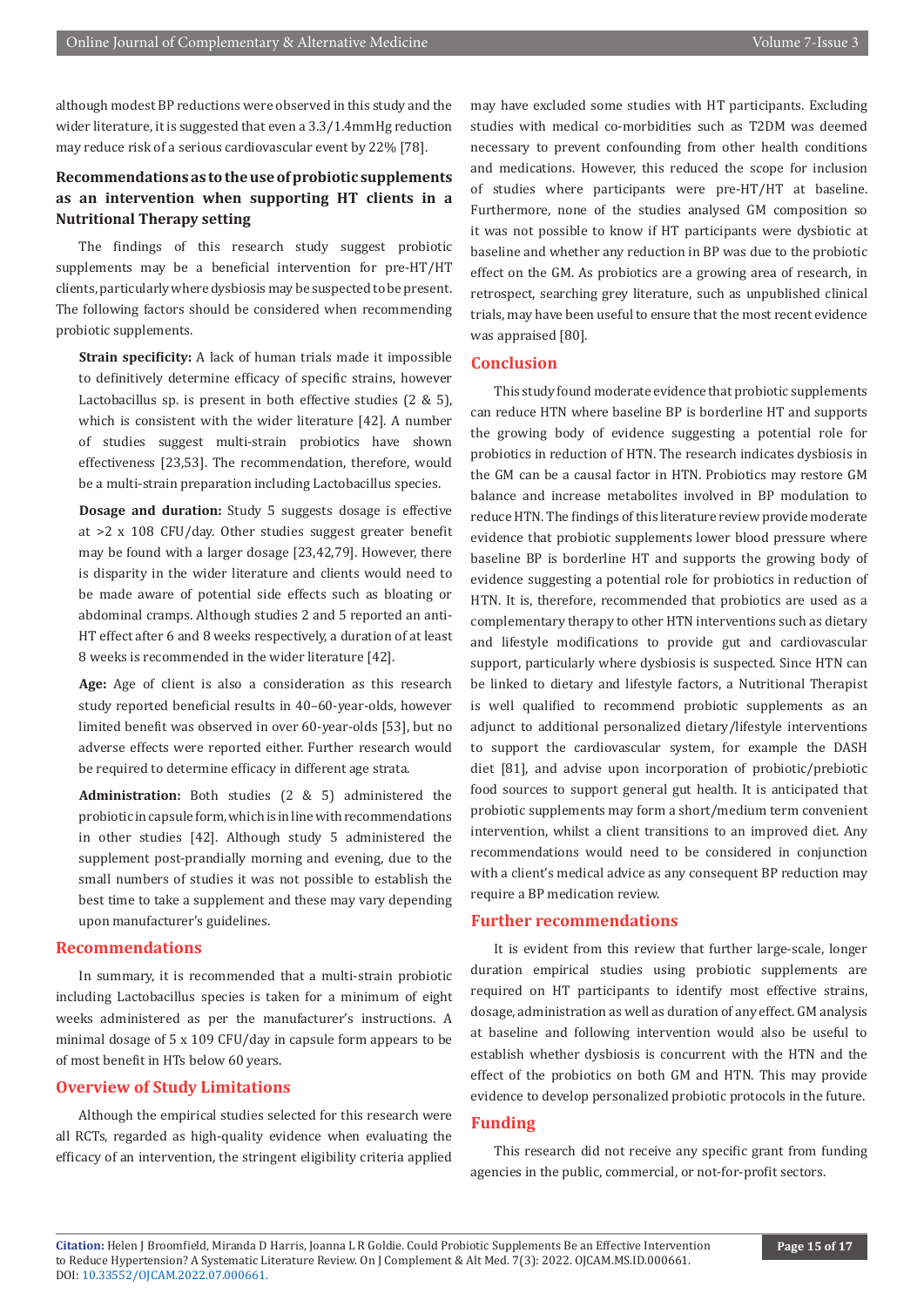although modest BP reductions were observed in this study and the wider literature, it is suggested that even a 3.3/1.4mmHg reduction may reduce risk of a serious cardiovascular event by 22% [78].

# **Recommendations as to the use of probiotic supplements as an intervention when supporting HT clients in a Nutritional Therapy setting**

The findings of this research study suggest probiotic supplements may be a beneficial intervention for pre-HT/HT clients, particularly where dysbiosis may be suspected to be present. The following factors should be considered when recommending probiotic supplements.

**Strain specificity:** A lack of human trials made it impossible to definitively determine efficacy of specific strains, however Lactobacillus sp. is present in both effective studies (2 & 5), which is consistent with the wider literature [42]. A number of studies suggest multi-strain probiotics have shown effectiveness [23,53]. The recommendation, therefore, would be a multi-strain preparation including Lactobacillus species.

**Dosage and duration:** Study 5 suggests dosage is effective at >2 x 108 CFU/day. Other studies suggest greater benefit may be found with a larger dosage [23,42,79]. However, there is disparity in the wider literature and clients would need to be made aware of potential side effects such as bloating or abdominal cramps. Although studies 2 and 5 reported an anti-HT effect after 6 and 8 weeks respectively, a duration of at least 8 weeks is recommended in the wider literature [42].

**Age:** Age of client is also a consideration as this research study reported beneficial results in 40–60-year-olds, however limited benefit was observed in over 60-year-olds [53], but no adverse effects were reported either. Further research would be required to determine efficacy in different age strata.

**Administration:** Both studies (2 & 5) administered the probiotic in capsule form, which is in line with recommendations in other studies [42]. Although study 5 administered the supplement post-prandially morning and evening, due to the small numbers of studies it was not possible to establish the best time to take a supplement and these may vary depending upon manufacturer's guidelines.

#### **Recommendations**

In summary, it is recommended that a multi-strain probiotic including Lactobacillus species is taken for a minimum of eight weeks administered as per the manufacturer's instructions. A minimal dosage of 5 x 109 CFU/day in capsule form appears to be of most benefit in HTs below 60 years.

#### **Overview of Study Limitations**

Although the empirical studies selected for this research were all RCTs, regarded as high-quality evidence when evaluating the efficacy of an intervention, the stringent eligibility criteria applied may have excluded some studies with HT participants. Excluding studies with medical co-morbidities such as T2DM was deemed necessary to prevent confounding from other health conditions and medications. However, this reduced the scope for inclusion of studies where participants were pre-HT/HT at baseline. Furthermore, none of the studies analysed GM composition so it was not possible to know if HT participants were dysbiotic at baseline and whether any reduction in BP was due to the probiotic effect on the GM. As probiotics are a growing area of research, in retrospect, searching grey literature, such as unpublished clinical trials, may have been useful to ensure that the most recent evidence was appraised [80].

#### **Conclusion**

This study found moderate evidence that probiotic supplements can reduce HTN where baseline BP is borderline HT and supports the growing body of evidence suggesting a potential role for probiotics in reduction of HTN. The research indicates dysbiosis in the GM can be a causal factor in HTN. Probiotics may restore GM balance and increase metabolites involved in BP modulation to reduce HTN. The findings of this literature review provide moderate evidence that probiotic supplements lower blood pressure where baseline BP is borderline HT and supports the growing body of evidence suggesting a potential role for probiotics in reduction of HTN. It is, therefore, recommended that probiotics are used as a complementary therapy to other HTN interventions such as dietary and lifestyle modifications to provide gut and cardiovascular support, particularly where dysbiosis is suspected. Since HTN can be linked to dietary and lifestyle factors, a Nutritional Therapist is well qualified to recommend probiotic supplements as an adjunct to additional personalized dietary/lifestyle interventions to support the cardiovascular system, for example the DASH diet [81], and advise upon incorporation of probiotic/prebiotic food sources to support general gut health. It is anticipated that probiotic supplements may form a short/medium term convenient intervention, whilst a client transitions to an improved diet. Any recommendations would need to be considered in conjunction with a client's medical advice as any consequent BP reduction may require a BP medication review.

#### **Further recommendations**

It is evident from this review that further large-scale, longer duration empirical studies using probiotic supplements are required on HT participants to identify most effective strains, dosage, administration as well as duration of any effect. GM analysis at baseline and following intervention would also be useful to establish whether dysbiosis is concurrent with the HTN and the effect of the probiotics on both GM and HTN. This may provide evidence to develop personalized probiotic protocols in the future.

#### **Funding**

This research did not receive any specific grant from funding agencies in the public, commercial, or not-for-profit sectors.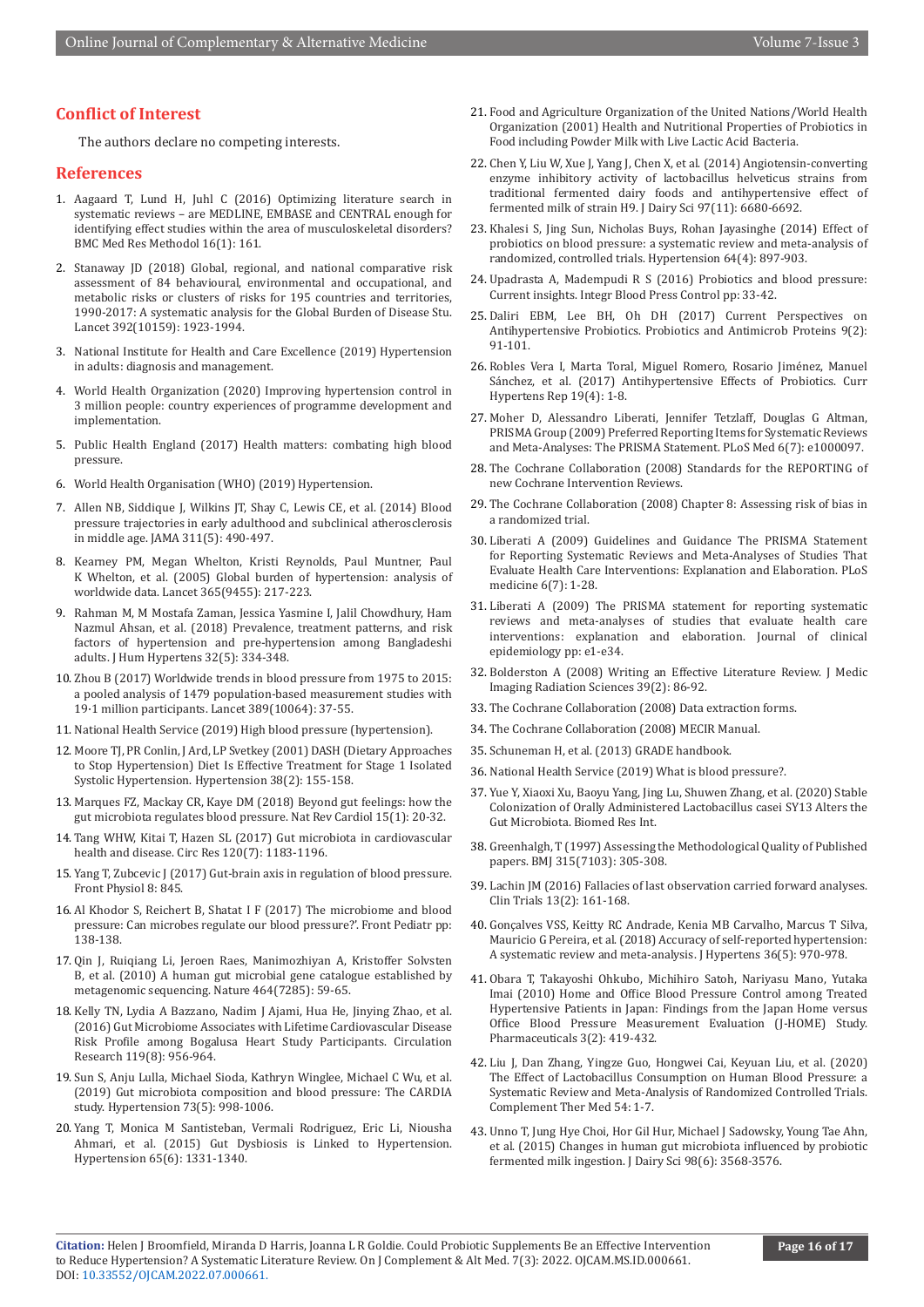# **Conflict of Interest**

The authors declare no competing interests.

#### **References**

- 1. [Aagaard T, Lund H, Juhl C \(2016\) Optimizing literature search in](https://pubmed.ncbi.nlm.nih.gov/27875992/)  [systematic reviews – are MEDLINE, EMBASE and CENTRAL enough for](https://pubmed.ncbi.nlm.nih.gov/27875992/)  [identifying effect studies within the area of musculoskeletal disorders?](https://pubmed.ncbi.nlm.nih.gov/27875992/)  [BMC Med Res Methodol 16\(1\): 161.](https://pubmed.ncbi.nlm.nih.gov/27875992/)
- 2. [Stanaway JD \(2018\) Global, regional, and national comparative risk](https://pubmed.ncbi.nlm.nih.gov/30496105/)  [assessment of 84 behavioural, environmental and occupational, and](https://pubmed.ncbi.nlm.nih.gov/30496105/)  [metabolic risks or clusters of risks for 195 countries and territories,](https://pubmed.ncbi.nlm.nih.gov/30496105/)  [1990-2017: A systematic analysis for the Global Burden of Disease Stu.](https://pubmed.ncbi.nlm.nih.gov/30496105/)  [Lancet 392\(10159\): 1923-1994.](https://pubmed.ncbi.nlm.nih.gov/30496105/)
- 3. [National Institute for Health and Care Excellence \(2019\) Hypertension](https://www.nice.org.uk/guidance/ng136)  [in adults: diagnosis and management.](https://www.nice.org.uk/guidance/ng136)
- 4. [World Health Organization \(2020\) Improving hypertension control in](https://www.who.int/publications/i/item/improving-hypertension-control-in-3-million-people-country-experiences-of-programme-development-and-implementation)  [3 million people: country experiences of programme development and](https://www.who.int/publications/i/item/improving-hypertension-control-in-3-million-people-country-experiences-of-programme-development-and-implementation)  [implementation.](https://www.who.int/publications/i/item/improving-hypertension-control-in-3-million-people-country-experiences-of-programme-development-and-implementation)
- 5. [Public Health England \(2017\) Health matters: combating high blood](https://www.gov.uk/government/publications/health-matters-combating-high-blood-pressure/health-matters-combating-high-blood-pressure)  [pressure.](https://www.gov.uk/government/publications/health-matters-combating-high-blood-pressure/health-matters-combating-high-blood-pressure)
- 6. [World Health Organisation \(WHO\) \(2019\) Hypertension.](https://www.who.int/news-room/fact-sheets/detail/hypertension)
- 7. [Allen NB, Siddique J, Wilkins JT, Shay C, Lewis CE, et al. \(2014\) Blood](https://pubmed.ncbi.nlm.nih.gov/24496536/)  [pressure trajectories in early adulthood and subclinical atherosclerosis](https://pubmed.ncbi.nlm.nih.gov/24496536/)  [in middle age. JAMA 311\(5\): 490-497.](https://pubmed.ncbi.nlm.nih.gov/24496536/)
- 8. [Kearney PM, Megan Whelton, Kristi Reynolds, Paul Muntner, Paul](https://pubmed.ncbi.nlm.nih.gov/15652604/)  [K Whelton, et al. \(2005\) Global burden of hypertension: analysis of](https://pubmed.ncbi.nlm.nih.gov/15652604/)  [worldwide data. Lancet 365\(9455\): 217-223.](https://pubmed.ncbi.nlm.nih.gov/15652604/)
- 9. [Rahman M, M Mostafa Zaman, Jessica Yasmine I, Jalil Chowdhury, Ham](https://pubmed.ncbi.nlm.nih.gov/29230005/)  [Nazmul Ahsan, et al. \(2018\) Prevalence, treatment patterns, and risk](https://pubmed.ncbi.nlm.nih.gov/29230005/)  [factors of hypertension and pre-hypertension among Bangladeshi](https://pubmed.ncbi.nlm.nih.gov/29230005/)  [adults. J Hum Hypertens 32\(5\): 334-348.](https://pubmed.ncbi.nlm.nih.gov/29230005/)
- 10. [Zhou B \(2017\) Worldwide trends in blood pressure from 1975 to 2015:](https://pubmed.ncbi.nlm.nih.gov/27863813/)  [a pooled analysis of 1479 population-based measurement studies with](https://pubmed.ncbi.nlm.nih.gov/27863813/)  [19·1 million participants. Lancet 389\(10064\): 37-55.](https://pubmed.ncbi.nlm.nih.gov/27863813/)
- 11. [National Health Service \(2019\) High blood pressure \(hypertension\).](https://www.nhs.uk/conditions/high-blood-pressure-hypertension/causes/)
- 12. [Moore TJ, PR Conlin, J Ard, LP Svetkey \(2001\) DASH \(Dietary Approaches](https://pubmed.ncbi.nlm.nih.gov/11509468/)  [to Stop Hypertension\) Diet Is Effective Treatment for Stage 1 Isolated](https://pubmed.ncbi.nlm.nih.gov/11509468/)  [Systolic Hypertension. Hypertension 38\(2\): 155-158.](https://pubmed.ncbi.nlm.nih.gov/11509468/)
- 13. [Marques FZ, Mackay CR, Kaye DM \(2018\) Beyond gut feelings: how the](https://pubmed.ncbi.nlm.nih.gov/28836619/)  [gut microbiota regulates blood pressure. Nat Rev Cardiol 15\(1\): 20-32.](https://pubmed.ncbi.nlm.nih.gov/28836619/)
- 14. [Tang WHW, Kitai T, Hazen SL \(2017\) Gut microbiota in cardiovascular](https://pubmed.ncbi.nlm.nih.gov/28360349/)  [health and disease. Circ Res 120\(7\): 1183-1196.](https://pubmed.ncbi.nlm.nih.gov/28360349/)
- 15. [Yang T, Zubcevic J \(2017\) Gut-brain axis in regulation of blood pressure.](https://pubmed.ncbi.nlm.nih.gov/29118721/)  [Front Physiol 8: 845.](https://pubmed.ncbi.nlm.nih.gov/29118721/)
- 16. Al Khodor S, Reichert B, Shatat I F (2017) The microbiome and blood pressure: Can microbes regulate our blood pressure?'. Front Pediatr pp: 138-138.
- 17. [Qin J, Ruiqiang Li, Jeroen Raes, Manimozhiyan A, Kristoffer Solvsten](https://pubmed.ncbi.nlm.nih.gov/20203603/)  [B, et al. \(2010\) A human gut microbial gene catalogue established by](https://pubmed.ncbi.nlm.nih.gov/20203603/)  [metagenomic sequencing. Nature 464\(7285\): 59-65.](https://pubmed.ncbi.nlm.nih.gov/20203603/)
- 18. [Kelly TN, Lydia A Bazzano, Nadim J Ajami, Hua He, Jinying Zhao, et al.](https://pubmed.ncbi.nlm.nih.gov/27507222/)  [\(2016\) Gut Microbiome Associates with Lifetime Cardiovascular Disease](https://pubmed.ncbi.nlm.nih.gov/27507222/)  [Risk Profile among Bogalusa Heart Study Participants. Circulation](https://pubmed.ncbi.nlm.nih.gov/27507222/)  [Research 119\(8\): 956-964.](https://pubmed.ncbi.nlm.nih.gov/27507222/)
- 19. [Sun S, Anju Lulla, Michael Sioda, Kathryn Winglee, Michael C Wu, et al.](https://pubmed.ncbi.nlm.nih.gov/30905192/)  [\(2019\) Gut microbiota composition and blood pressure: The CARDIA](https://pubmed.ncbi.nlm.nih.gov/30905192/)  [study. Hypertension 73\(5\): 998-1006.](https://pubmed.ncbi.nlm.nih.gov/30905192/)
- 20. [Yang T, Monica M Santisteban, Vermali Rodriguez, Eric Li, Niousha](https://pubmed.ncbi.nlm.nih.gov/25870193/)  [Ahmari, et al. \(2015\) Gut Dysbiosis is Linked to Hypertension.](https://pubmed.ncbi.nlm.nih.gov/25870193/)  [Hypertension 65\(6\): 1331-1340.](https://pubmed.ncbi.nlm.nih.gov/25870193/)
- 21. [Food and Agriculture Organization of the United Nations/World Health](https://www.fao.org/documents/pub_dett.asp?lang=en&pub_id=61756) [Organization \(2001\) Health and Nutritional Properties of Probiotics in](https://www.fao.org/documents/pub_dett.asp?lang=en&pub_id=61756) [Food including Powder Milk with Live Lactic Acid Bacteria.](https://www.fao.org/documents/pub_dett.asp?lang=en&pub_id=61756)
- 22. [Chen Y, Liu W, Xue J, Yang J, Chen X, et al. \(2014\) Angiotensin-converting](https://pubmed.ncbi.nlm.nih.gov/25151888/) [enzyme inhibitory activity of lactobacillus helveticus strains from](https://pubmed.ncbi.nlm.nih.gov/25151888/) [traditional fermented dairy foods and antihypertensive effect of](https://pubmed.ncbi.nlm.nih.gov/25151888/) [fermented milk of strain H9. J Dairy Sci 97\(11\): 6680-6692.](https://pubmed.ncbi.nlm.nih.gov/25151888/)
- 23. [Khalesi S, Jing Sun, Nicholas Buys, Rohan Jayasinghe \(2014\) Effect of](https://pubmed.ncbi.nlm.nih.gov/25047574/) [probiotics on blood pressure: a systematic review and meta-analysis of](https://pubmed.ncbi.nlm.nih.gov/25047574/) [randomized, controlled trials. Hypertension 64\(4\): 897-903.](https://pubmed.ncbi.nlm.nih.gov/25047574/)
- 24. [Upadrasta A, Madempudi R S \(2016\) Probiotics and blood pressure:](https://pubmed.ncbi.nlm.nih.gov/26955291/) [Current insights. Integr Blood Press Control pp: 33-42.](https://pubmed.ncbi.nlm.nih.gov/26955291/)
- 25. [Daliri EBM, Lee BH, Oh DH \(2017\) Current Perspectives on](https://pubmed.ncbi.nlm.nih.gov/27900619/) [Antihypertensive Probiotics. Probiotics and Antimicrob Proteins 9\(2\):](https://pubmed.ncbi.nlm.nih.gov/27900619/) [91-101.](https://pubmed.ncbi.nlm.nih.gov/27900619/)
- 26. [Robles Vera I, Marta Toral, Miguel Romero, Rosario Jiménez, Manuel](https://pubmed.ncbi.nlm.nih.gov/28315049/) [Sánchez, et al. \(2017\) Antihypertensive Effects of Probiotics. Curr](https://pubmed.ncbi.nlm.nih.gov/28315049/) [Hypertens Rep 19\(4\): 1-8.](https://pubmed.ncbi.nlm.nih.gov/28315049/)
- 27. [Moher D, Alessandro Liberati, Jennifer Tetzlaff, Douglas G Altman,](https://pubmed.ncbi.nlm.nih.gov/19621072/) [PRISMA Group \(2009\) Preferred Reporting Items for Systematic Reviews](https://pubmed.ncbi.nlm.nih.gov/19621072/) [and Meta-Analyses: The PRISMA Statement. PLoS Med 6\(7\): e1000097.](https://pubmed.ncbi.nlm.nih.gov/19621072/)
- 28. [The Cochrane Collaboration \(2008\) Standards for the REPORTING of](https://community.cochrane.org/mecir-manual/standards-reporting-new-cochrane-intervention-reviews-r1-r109) [new Cochrane Intervention Reviews.](https://community.cochrane.org/mecir-manual/standards-reporting-new-cochrane-intervention-reviews-r1-r109)
- 29. The Cochrane Collaboration (2008) Chapter 8: Assessing risk of bias in a randomized trial.
- 30. Liberati A (2009) Guidelines and Guidance The PRISMA Statement for Reporting Systematic Reviews and Meta-Analyses of Studies That Evaluate Health Care Interventions: Explanation and Elaboration. PLoS medicine 6(7): 1-28.
- 31. Liberati A (2009) The PRISMA statement for reporting systematic reviews and meta-analyses of studies that evaluate health care interventions: explanation and elaboration. Journal of clinical epidemiology pp: e1-e34.
- 32. Bolderston A (2008) Writing an Effective Literature Review. J Medic Imaging Radiation Sciences 39(2): 86-92.
- 33. [The Cochrane Collaboration \(2008\) Data extraction forms.](https://dplp.cochrane.org/data-extraction-forms)
- 34. [The Cochrane Collaboration \(2008\) MECIR Manual.](https://community.cochrane.org/mecir-manual)
- 35. [Schuneman H, et al. \(2013\) GRADE handbook.](https://gdt.gradepro.org/app/handbook/handbook.html)
- 36. [National Health Service \(2019\) What is blood pressure?.](https://www.nhs.uk/common-health-questions/lifestyle/what-is-blood-pressure/)
- 37. [Yue Y, Xiaoxi Xu, Baoyu Yang, Jing Lu, Shuwen Zhang, et al. \(2020\) Stable](https://pubmed.ncbi.nlm.nih.gov/32104695/) [Colonization of Orally Administered Lactobacillus casei SY13 Alters the](https://pubmed.ncbi.nlm.nih.gov/32104695/) [Gut Microbiota. Biomed Res Int.](https://pubmed.ncbi.nlm.nih.gov/32104695/)
- 38. [Greenhalgh, T \(1997\) Assessing the Methodological Quality of Published](https://pubmed.ncbi.nlm.nih.gov/9274555/) [papers. BMJ 315\(7103\): 305-308.](https://pubmed.ncbi.nlm.nih.gov/9274555/)
- 39. [Lachin JM \(2016\) Fallacies of last observation carried forward analyses.](https://pubmed.ncbi.nlm.nih.gov/26400875/) [Clin Trials 13\(2\): 161-168.](https://pubmed.ncbi.nlm.nih.gov/26400875/)
- 40. [Gonçalves VSS, Keitty RC Andrade, Kenia MB Carvalho, Marcus T Silva,](https://pubmed.ncbi.nlm.nih.gov/29232280/) [Mauricio G Pereira, et al. \(2018\) Accuracy of self-reported hypertension:](https://pubmed.ncbi.nlm.nih.gov/29232280/) [A systematic review and meta-analysis. J Hypertens 36\(5\): 970-978.](https://pubmed.ncbi.nlm.nih.gov/29232280/)
- 41. [Obara T, Takayoshi Ohkubo, Michihiro Satoh, Nariyasu Mano, Yutaka](https://pubmed.ncbi.nlm.nih.gov/27713260/) [Imai \(2010\) Home and Office Blood Pressure Control among Treated](https://pubmed.ncbi.nlm.nih.gov/27713260/) [Hypertensive Patients in Japan: Findings from the Japan Home versus](https://pubmed.ncbi.nlm.nih.gov/27713260/) [Office Blood Pressure Measurement Evaluation \(J-HOME\) Study.](https://pubmed.ncbi.nlm.nih.gov/27713260/) [Pharmaceuticals 3\(2\): 419-432.](https://pubmed.ncbi.nlm.nih.gov/27713260/)
- 42. [Liu J, Dan Zhang, Yingze Guo, Hongwei Cai, Keyuan Liu, et al. \(2020\)](https://pubmed.ncbi.nlm.nih.gov/33183665/) [The Effect of Lactobacillus Consumption on Human Blood Pressure: a](https://pubmed.ncbi.nlm.nih.gov/33183665/) [Systematic Review and Meta-Analysis of Randomized Controlled Trials.](https://pubmed.ncbi.nlm.nih.gov/33183665/) [Complement Ther Med 54: 1-7.](https://pubmed.ncbi.nlm.nih.gov/33183665/)
- 43. [Unno T, Jung Hye Choi, Hor Gil Hur, Michael J Sadowsky, Young Tae Ahn,](https://pubmed.ncbi.nlm.nih.gov/25864056/) [et al. \(2015\) Changes in human gut microbiota influenced by probiotic](https://pubmed.ncbi.nlm.nih.gov/25864056/) [fermented milk ingestion. J Dairy Sci 98\(6\): 3568-3576.](https://pubmed.ncbi.nlm.nih.gov/25864056/)